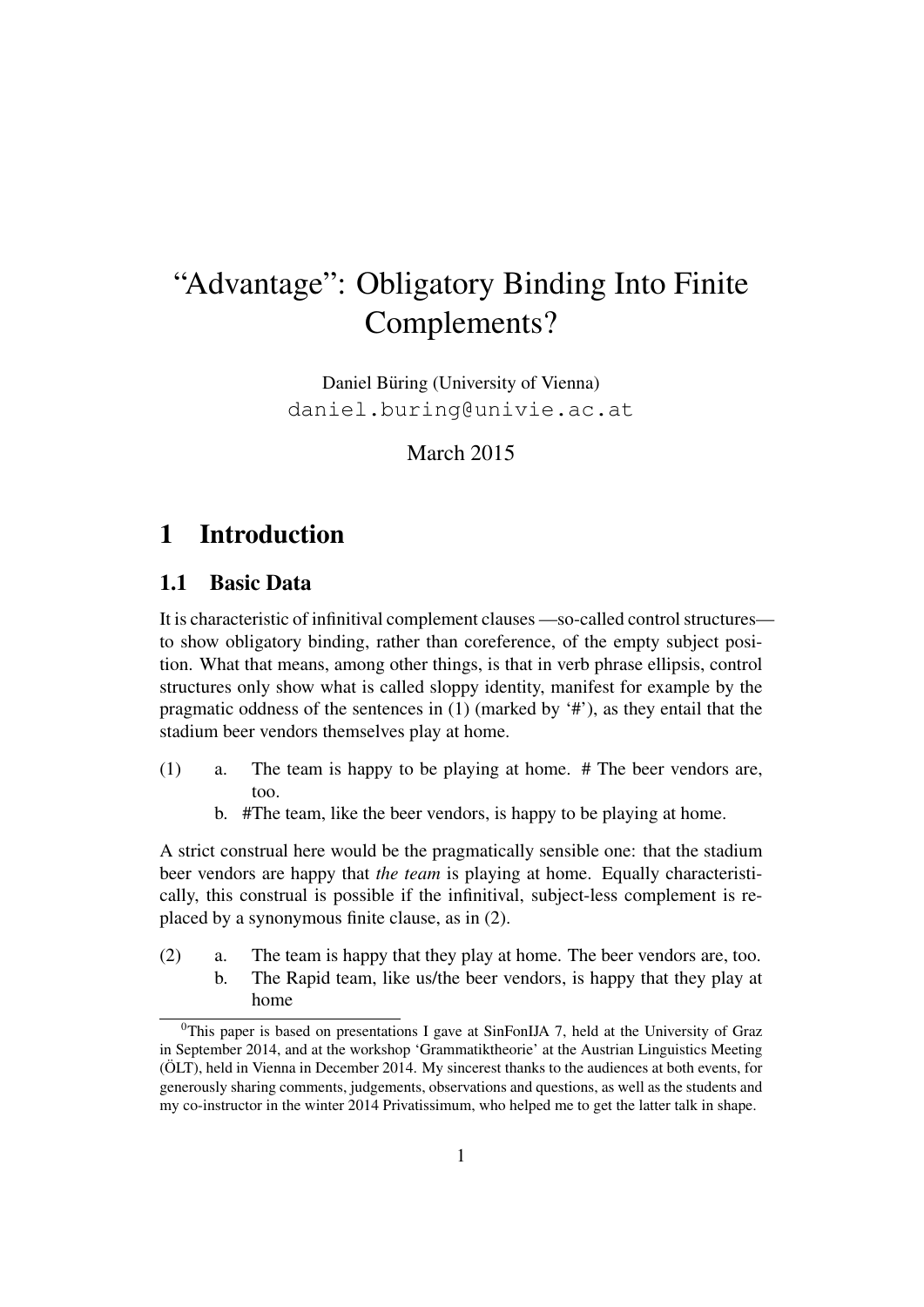# "Advantage": Obligatory Binding Into Finite Complements?

Daniel Büring (University of Vienna) daniel.buring@univie.ac.at

March 2015

# 1 Introduction

#### 1.1 Basic Data

It is characteristic of infinitival complement clauses —so-called control structures to show obligatory binding, rather than coreference, of the empty subject position. What that means, among other things, is that in verb phrase ellipsis, control structures only show what is called sloppy identity, manifest for example by the pragmatic oddness of the sentences in (1) (marked by '#'), as they entail that the stadium beer vendors themselves play at home.

- (1) a. The team is happy to be playing at home. # The beer vendors are, too.
	- b. #The team, like the beer vendors, is happy to be playing at home.

A strict construal here would be the pragmatically sensible one: that the stadium beer vendors are happy that *the team* is playing at home. Equally characteristically, this construal is possible if the infinitival, subject-less complement is replaced by a synonymous finite clause, as in (2).

(2) a. The team is happy that they play at home. The beer vendors are, too. b. The Rapid team, like us/the beer vendors, is happy that they play at home

 $0$ This paper is based on presentations I gave at SinFonIJA 7, held at the University of Graz in September 2014, and at the workshop 'Grammatiktheorie' at the Austrian Linguistics Meeting (ÖLT), held in Vienna in December 2014. My sincerest thanks to the audiences at both events, for generously sharing comments, judgements, observations and questions, as well as the students and my co-instructor in the winter 2014 Privatissimum, who helped me to get the latter talk in shape.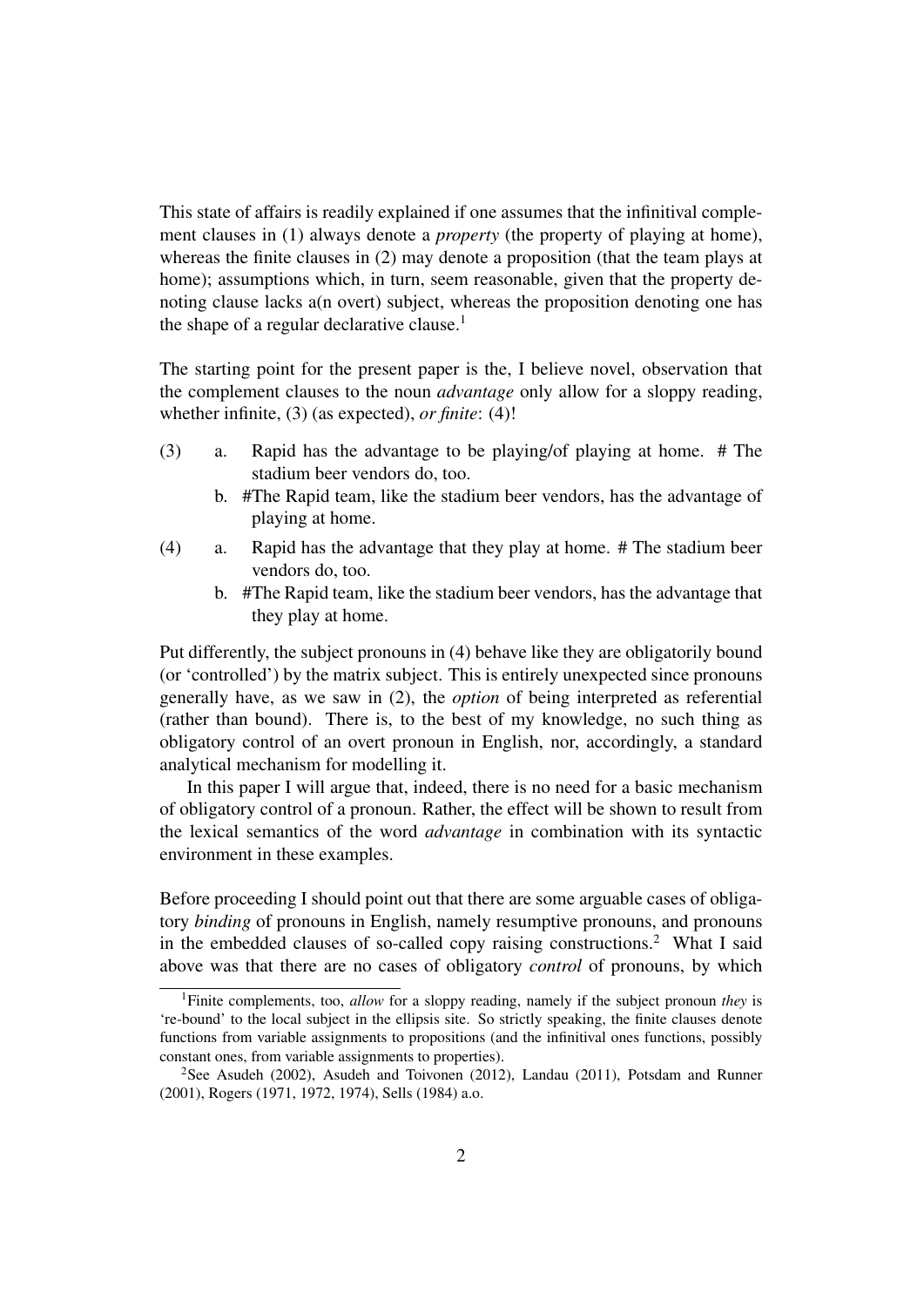This state of affairs is readily explained if one assumes that the infinitival complement clauses in (1) always denote a *property* (the property of playing at home), whereas the finite clauses in (2) may denote a proposition (that the team plays at home); assumptions which, in turn, seem reasonable, given that the property denoting clause lacks a(n overt) subject, whereas the proposition denoting one has the shape of a regular declarative clause. $<sup>1</sup>$ </sup>

The starting point for the present paper is the, I believe novel, observation that the complement clauses to the noun *advantage* only allow for a sloppy reading, whether infinite, (3) (as expected), *or finite*: (4)!

- (3) a. Rapid has the advantage to be playing/of playing at home. # The stadium beer vendors do, too.
	- b. #The Rapid team, like the stadium beer vendors, has the advantage of playing at home.
- (4) a. Rapid has the advantage that they play at home. # The stadium beer vendors do, too.
	- b. #The Rapid team, like the stadium beer vendors, has the advantage that they play at home.

Put differently, the subject pronouns in (4) behave like they are obligatorily bound (or 'controlled') by the matrix subject. This is entirely unexpected since pronouns generally have, as we saw in (2), the *option* of being interpreted as referential (rather than bound). There is, to the best of my knowledge, no such thing as obligatory control of an overt pronoun in English, nor, accordingly, a standard analytical mechanism for modelling it.

In this paper I will argue that, indeed, there is no need for a basic mechanism of obligatory control of a pronoun. Rather, the effect will be shown to result from the lexical semantics of the word *advantage* in combination with its syntactic environment in these examples.

Before proceeding I should point out that there are some arguable cases of obligatory *binding* of pronouns in English, namely resumptive pronouns, and pronouns in the embedded clauses of so-called copy raising constructions.<sup>2</sup> What I said above was that there are no cases of obligatory *control* of pronouns, by which

<sup>1</sup>Finite complements, too, *allow* for a sloppy reading, namely if the subject pronoun *they* is 're-bound' to the local subject in the ellipsis site. So strictly speaking, the finite clauses denote functions from variable assignments to propositions (and the infinitival ones functions, possibly constant ones, from variable assignments to properties).

<sup>&</sup>lt;sup>2</sup>See Asudeh (2002), Asudeh and Toivonen (2012), Landau (2011), Potsdam and Runner (2001), Rogers (1971, 1972, 1974), Sells (1984) a.o.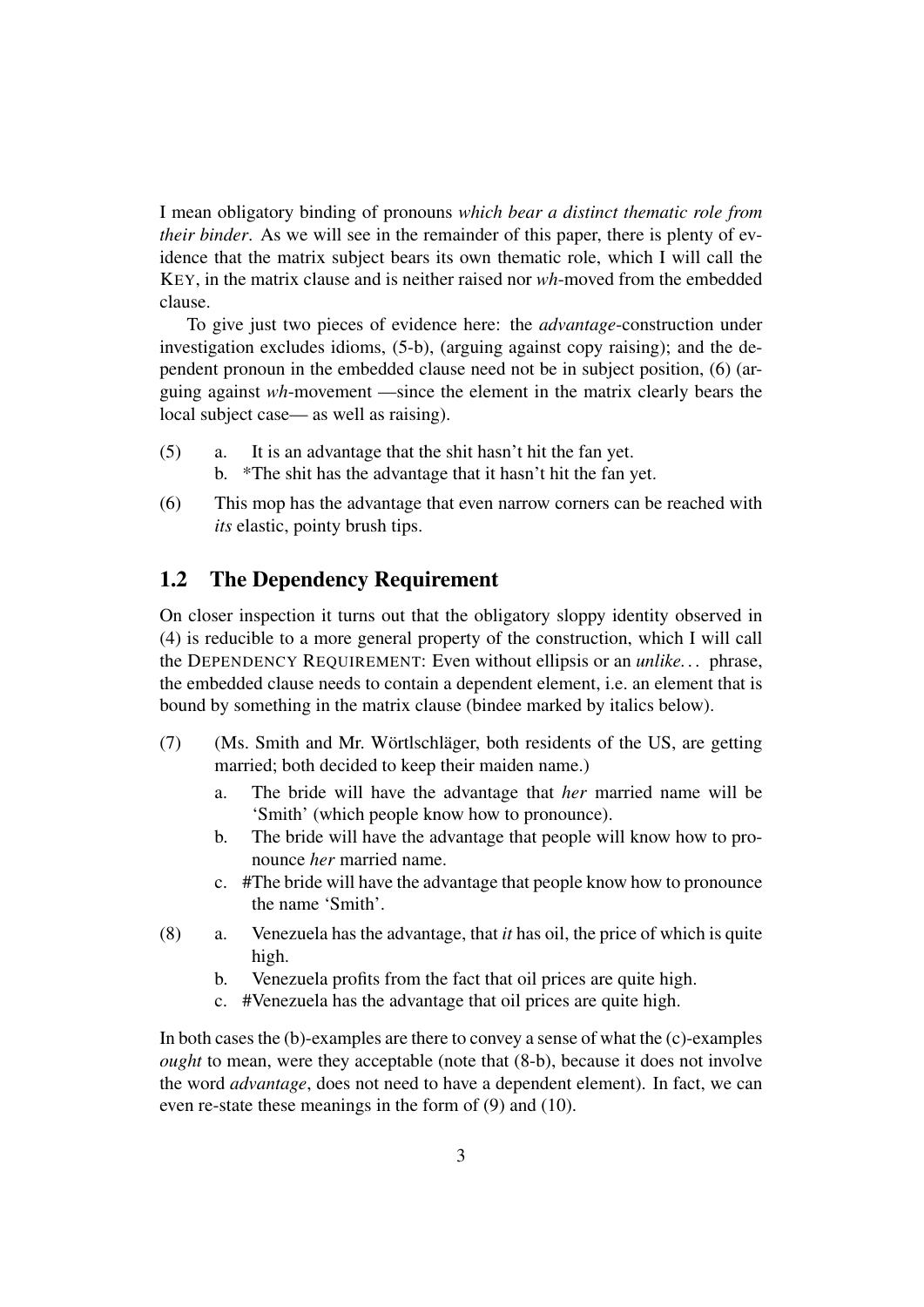I mean obligatory binding of pronouns *which bear a distinct thematic role from their binder*. As we will see in the remainder of this paper, there is plenty of evidence that the matrix subject bears its own thematic role, which I will call the KEY, in the matrix clause and is neither raised nor *wh*-moved from the embedded clause.

To give just two pieces of evidence here: the *advantage*-construction under investigation excludes idioms, (5-b), (arguing against copy raising); and the dependent pronoun in the embedded clause need not be in subject position, (6) (arguing against *wh*-movement —since the element in the matrix clearly bears the local subject case— as well as raising).

- (5) a. It is an advantage that the shit hasn't hit the fan yet.
	- b. \*The shit has the advantage that it hasn't hit the fan yet.
- (6) This mop has the advantage that even narrow corners can be reached with *its* elastic, pointy brush tips.

#### 1.2 The Dependency Requirement

On closer inspection it turns out that the obligatory sloppy identity observed in (4) is reducible to a more general property of the construction, which I will call the DEPENDENCY REQUIREMENT: Even without ellipsis or an *unlike. . .* phrase, the embedded clause needs to contain a dependent element, i.e. an element that is bound by something in the matrix clause (bindee marked by italics below).

- $(7)$  (Ms. Smith and Mr. Wörtlschläger, both residents of the US, are getting married; both decided to keep their maiden name.)
	- a. The bride will have the advantage that *her* married name will be 'Smith' (which people know how to pronounce).
	- b. The bride will have the advantage that people will know how to pronounce *her* married name.
	- c. #The bride will have the advantage that people know how to pronounce the name 'Smith'.
- (8) a. Venezuela has the advantage, that *it* has oil, the price of which is quite high.
	- b. Venezuela profits from the fact that oil prices are quite high.
	- c. #Venezuela has the advantage that oil prices are quite high.

In both cases the (b)-examples are there to convey a sense of what the (c)-examples *ought* to mean, were they acceptable (note that  $(8-b)$ , because it does not involve the word *advantage*, does not need to have a dependent element). In fact, we can even re-state these meanings in the form of (9) and (10).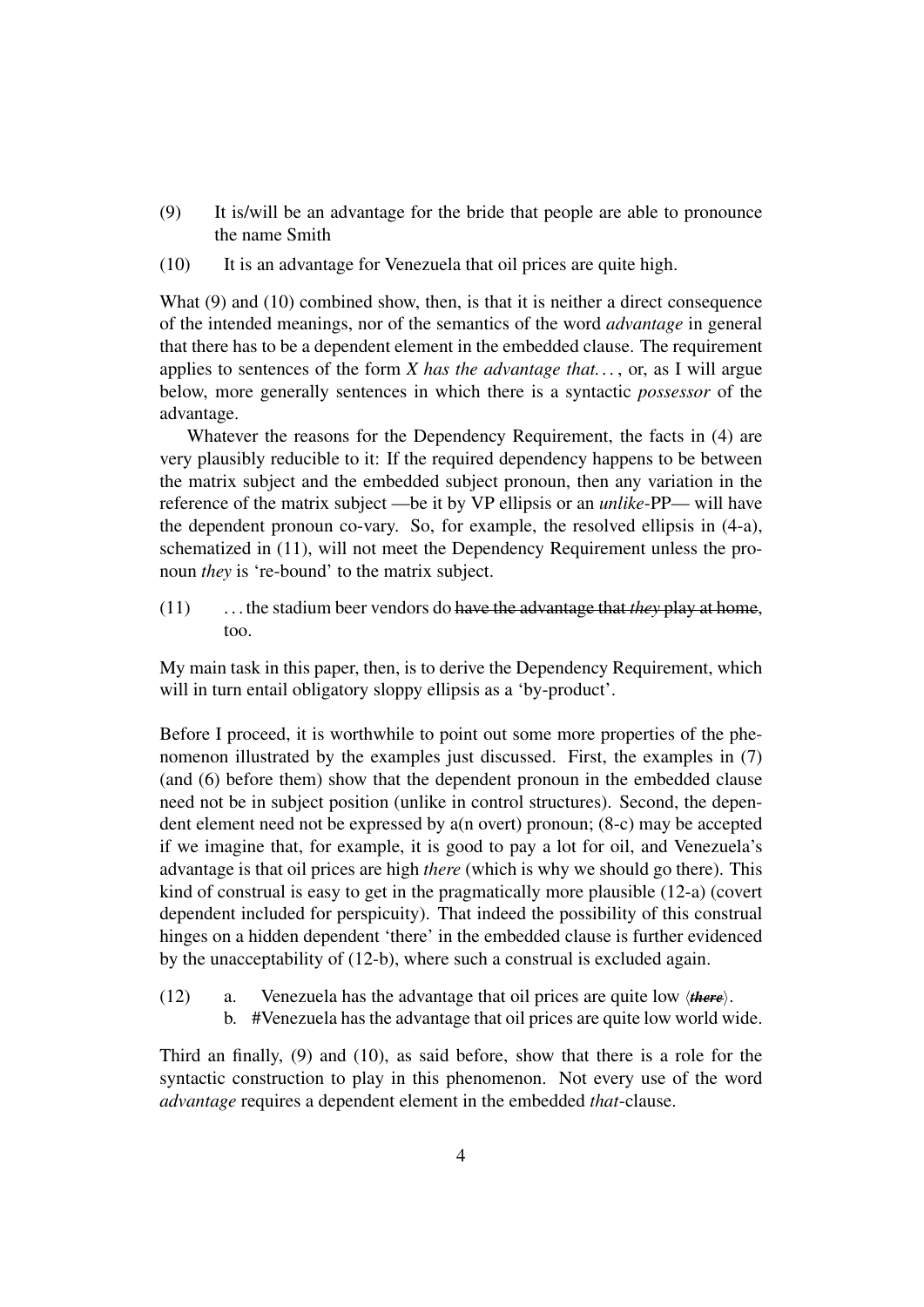- (9) It is/will be an advantage for the bride that people are able to pronounce the name Smith
- (10) It is an advantage for Venezuela that oil prices are quite high.

What (9) and (10) combined show, then, is that it is neither a direct consequence of the intended meanings, nor of the semantics of the word *advantage* in general that there has to be a dependent element in the embedded clause. The requirement applies to sentences of the form *X has the advantage that. . .* , or, as I will argue below, more generally sentences in which there is a syntactic *possessor* of the advantage.

Whatever the reasons for the Dependency Requirement, the facts in (4) are very plausibly reducible to it: If the required dependency happens to be between the matrix subject and the embedded subject pronoun, then any variation in the reference of the matrix subject —be it by VP ellipsis or an *unlike*-PP— will have the dependent pronoun co-vary. So, for example, the resolved ellipsis in (4-a), schematized in (11), will not meet the Dependency Requirement unless the pronoun *they* is 're-bound' to the matrix subject.

(11) . . . the stadium beer vendors do have the advantage that *they* play at home, too.

My main task in this paper, then, is to derive the Dependency Requirement, which will in turn entail obligatory sloppy ellipsis as a 'by-product'.

Before I proceed, it is worthwhile to point out some more properties of the phenomenon illustrated by the examples just discussed. First, the examples in (7) (and (6) before them) show that the dependent pronoun in the embedded clause need not be in subject position (unlike in control structures). Second, the dependent element need not be expressed by a(n overt) pronoun; (8-c) may be accepted if we imagine that, for example, it is good to pay a lot for oil, and Venezuela's advantage is that oil prices are high *there* (which is why we should go there). This kind of construal is easy to get in the pragmatically more plausible (12-a) (covert dependent included for perspicuity). That indeed the possibility of this construal hinges on a hidden dependent 'there' in the embedded clause is further evidenced by the unacceptability of (12-b), where such a construal is excluded again.

- (12) a. Venezuela has the advantage that oil prices are quite low  $\langle$ *there* $\rangle$ .
	- b. #Venezuela has the advantage that oil prices are quite low world wide.

Third an finally, (9) and (10), as said before, show that there is a role for the syntactic construction to play in this phenomenon. Not every use of the word *advantage* requires a dependent element in the embedded *that*-clause.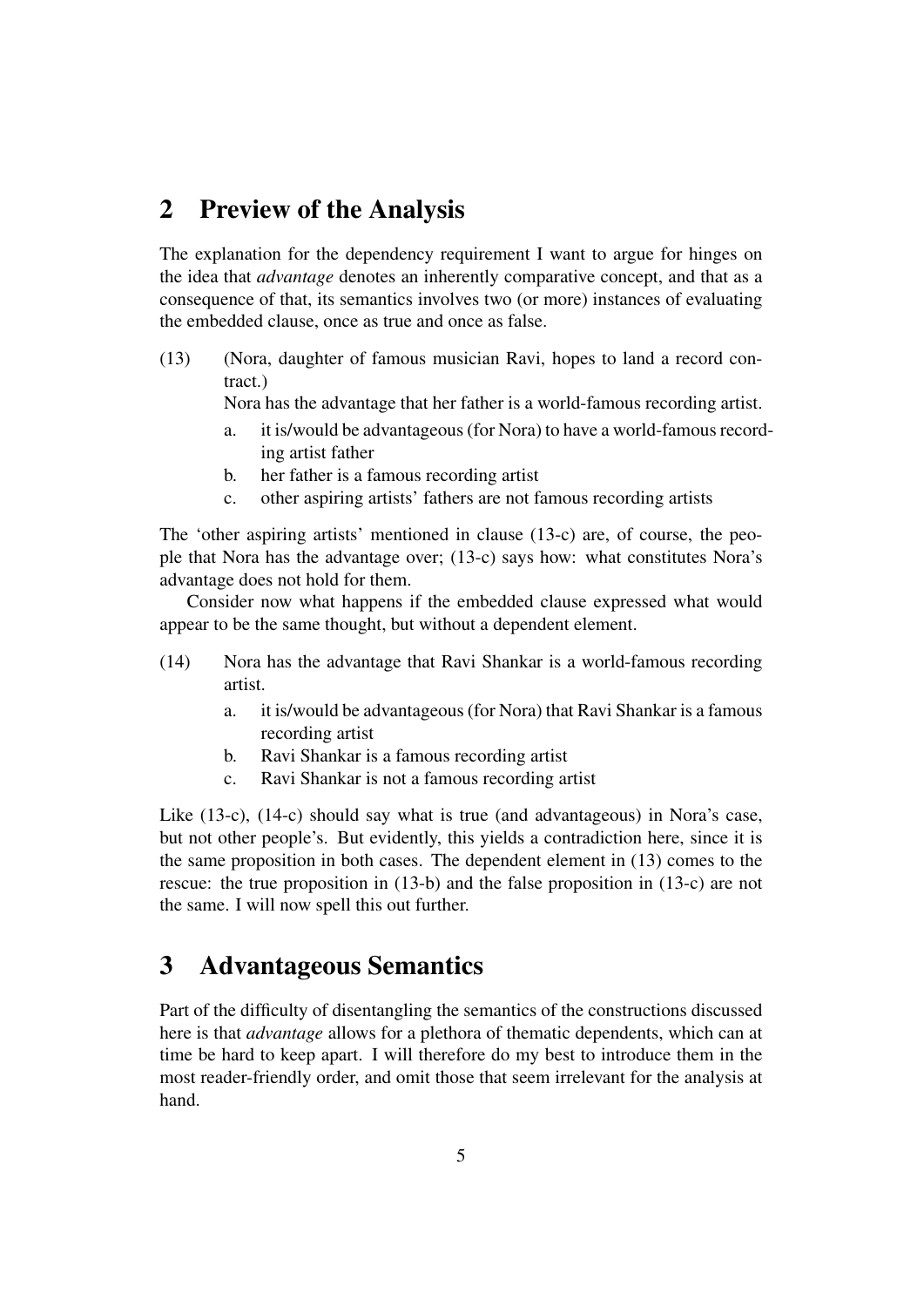# 2 Preview of the Analysis

The explanation for the dependency requirement I want to argue for hinges on the idea that *advantage* denotes an inherently comparative concept, and that as a consequence of that, its semantics involves two (or more) instances of evaluating the embedded clause, once as true and once as false.

(13) (Nora, daughter of famous musician Ravi, hopes to land a record contract.)

Nora has the advantage that her father is a world-famous recording artist.

- a. it is/would be advantageous (for Nora) to have a world-famous recording artist father
- b. her father is a famous recording artist
- c. other aspiring artists' fathers are not famous recording artists

The 'other aspiring artists' mentioned in clause (13-c) are, of course, the people that Nora has the advantage over; (13-c) says how: what constitutes Nora's advantage does not hold for them.

Consider now what happens if the embedded clause expressed what would appear to be the same thought, but without a dependent element.

- (14) Nora has the advantage that Ravi Shankar is a world-famous recording artist.
	- a. it is/would be advantageous (for Nora) that Ravi Shankar is a famous recording artist
	- b. Ravi Shankar is a famous recording artist
	- c. Ravi Shankar is not a famous recording artist

Like (13-c), (14-c) should say what is true (and advantageous) in Nora's case, but not other people's. But evidently, this yields a contradiction here, since it is the same proposition in both cases. The dependent element in (13) comes to the rescue: the true proposition in (13-b) and the false proposition in (13-c) are not the same. I will now spell this out further.

# 3 Advantageous Semantics

Part of the difficulty of disentangling the semantics of the constructions discussed here is that *advantage* allows for a plethora of thematic dependents, which can at time be hard to keep apart. I will therefore do my best to introduce them in the most reader-friendly order, and omit those that seem irrelevant for the analysis at hand.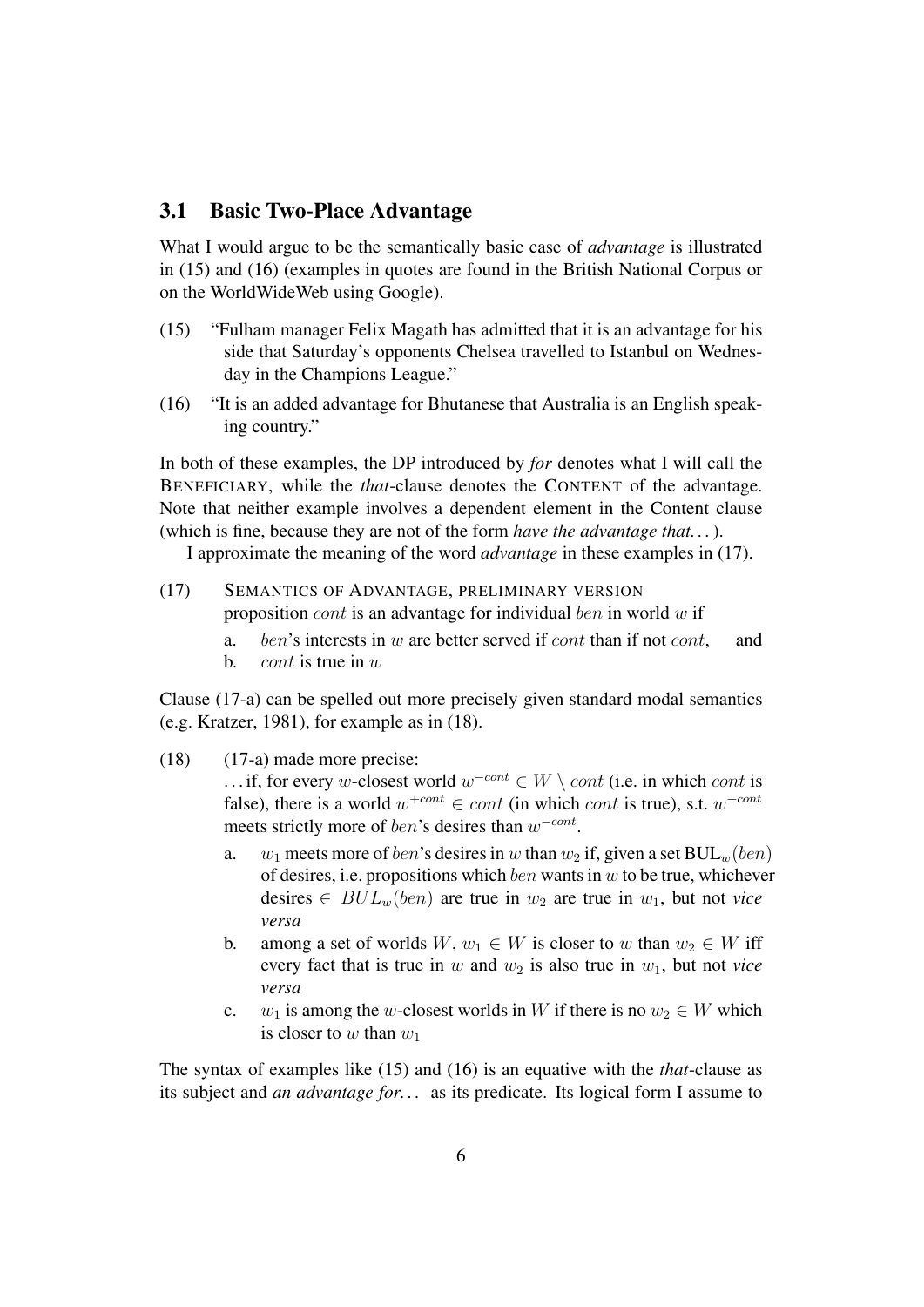#### 3.1 Basic Two-Place Advantage

What I would argue to be the semantically basic case of *advantage* is illustrated in (15) and (16) (examples in quotes are found in the British National Corpus or on the WorldWideWeb using Google).

- (15) "Fulham manager Felix Magath has admitted that it is an advantage for his side that Saturday's opponents Chelsea travelled to Istanbul on Wednesday in the Champions League."
- (16) "It is an added advantage for Bhutanese that Australia is an English speaking country."

In both of these examples, the DP introduced by *for* denotes what I will call the BENEFICIARY, while the *that*-clause denotes the CONTENT of the advantage. Note that neither example involves a dependent element in the Content clause (which is fine, because they are not of the form *have the advantage that. . .*).

I approximate the meaning of the word *advantage* in these examples in (17).

- (17) SEMANTICS OF ADVANTAGE, PRELIMINARY VERSION proposition *cont* is an advantage for individual *ben* in world  $w$  if
	- a. ben's interests in w are better served if  $cont$  than if not  $cont$ , and
	- b. *cont* is true in  $w$

Clause (17-a) can be spelled out more precisely given standard modal semantics (e.g. Kratzer, 1981), for example as in (18).

(18) (17-a) made more precise:

... if, for every w-closest world  $w^{-cont} \in W \setminus cont$  (i.e. in which cont is false), there is a world  $w^{+cont} \in cont$  (in which cont is true), s.t.  $w^{+cont}$ meets strictly more of ben's desires than  $w^{-cont}$ .

- a.  $w_1$  meets more of *ben*'s desires in w than  $w_2$  if, given a set  $BUL_w(ben)$ of desires, i.e. propositions which  $ben$  wants in  $w$  to be true, whichever desires  $\in BUL_w(ben)$  are true in  $w_2$  are true in  $w_1$ , but not *vice versa*
- b. among a set of worlds  $W, w_1 \in W$  is closer to w than  $w_2 \in W$  iff every fact that is true in  $w$  and  $w_2$  is also true in  $w_1$ , but not *vice versa*
- c.  $w_1$  is among the w-closest worlds in W if there is no  $w_2 \in W$  which is closer to w than  $w_1$

The syntax of examples like (15) and (16) is an equative with the *that*-clause as its subject and *an advantage for. . .* as its predicate. Its logical form I assume to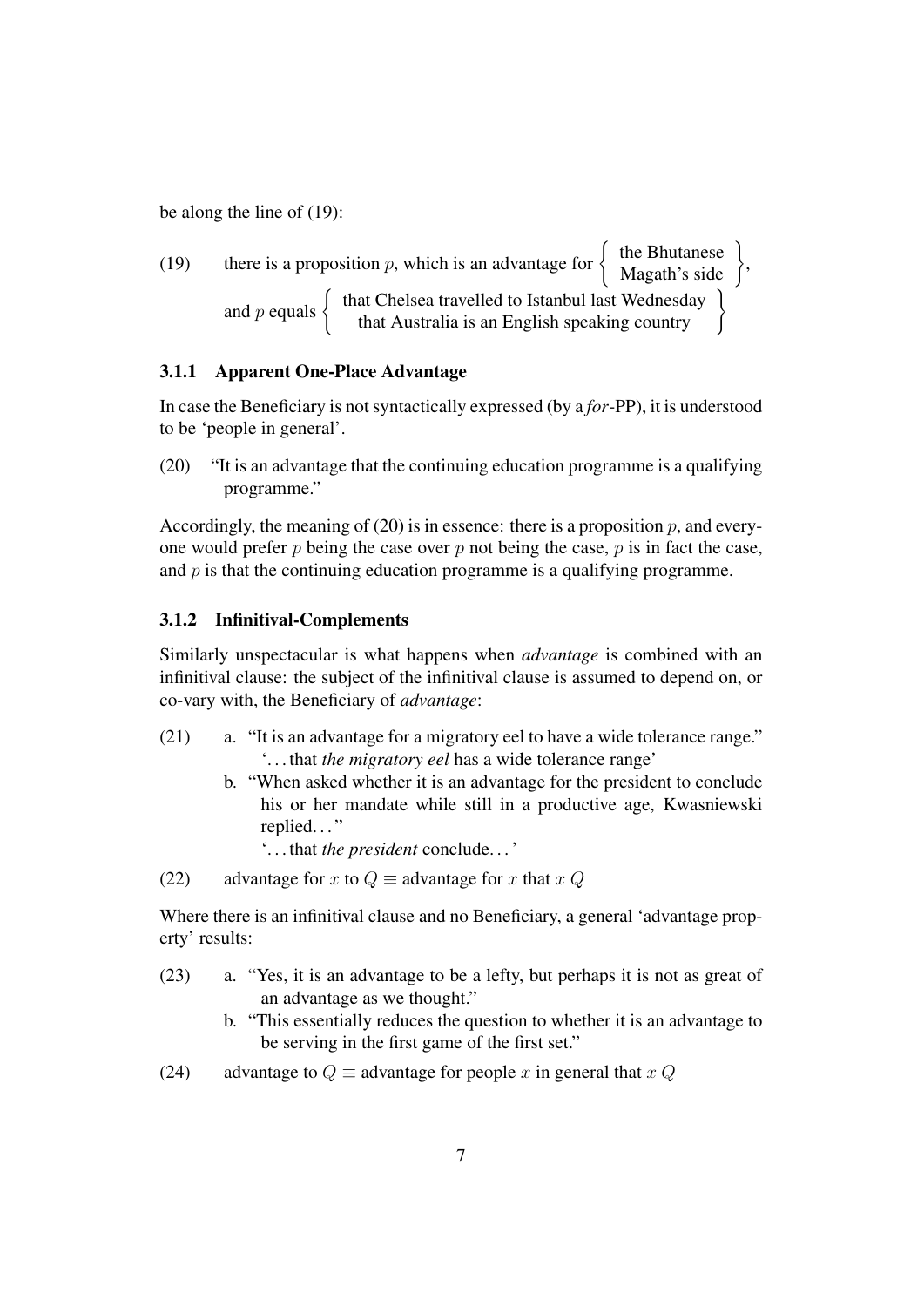be along the line of (19):

(19) there is a proposition *p*, which is an advantage for 
$$
\left\{\begin{array}{c}\text{the Bhutanes} \\ \text{Magath's side} \\ \text{and } p \text{ equals } \left\{\begin{array}{c}\text{that Chelsea travelled to Istanbul last Wednesday} \\ \text{that Australia is an English speaking country}\end{array}\right\}
$$

#### 3.1.1 Apparent One-Place Advantage

In case the Beneficiary is not syntactically expressed (by a *for*-PP), it is understood to be 'people in general'.

(20) "It is an advantage that the continuing education programme is a qualifying programme."

Accordingly, the meaning of (20) is in essence: there is a proposition  $p$ , and everyone would prefer  $p$  being the case over  $p$  not being the case,  $p$  is in fact the case, and  $p$  is that the continuing education programme is a qualifying programme.

#### 3.1.2 Infinitival-Complements

Similarly unspectacular is what happens when *advantage* is combined with an infinitival clause: the subject of the infinitival clause is assumed to depend on, or co-vary with, the Beneficiary of *advantage*:

- (21) a. "It is an advantage for a migratory eel to have a wide tolerance range." '. . . that *the migratory eel* has a wide tolerance range'
	- b. "When asked whether it is an advantage for the president to conclude his or her mandate while still in a productive age, Kwasniewski replied..."

'. . . that *the president* conclude. . . '

(22) advantage for x to  $Q \equiv$  advantage for x that x Q

Where there is an infinitival clause and no Beneficiary, a general 'advantage property' results:

- (23) a. "Yes, it is an advantage to be a lefty, but perhaps it is not as great of an advantage as we thought."
	- b. "This essentially reduces the question to whether it is an advantage to be serving in the first game of the first set."
- (24) advantage to  $Q \equiv$  advantage for people x in general that x Q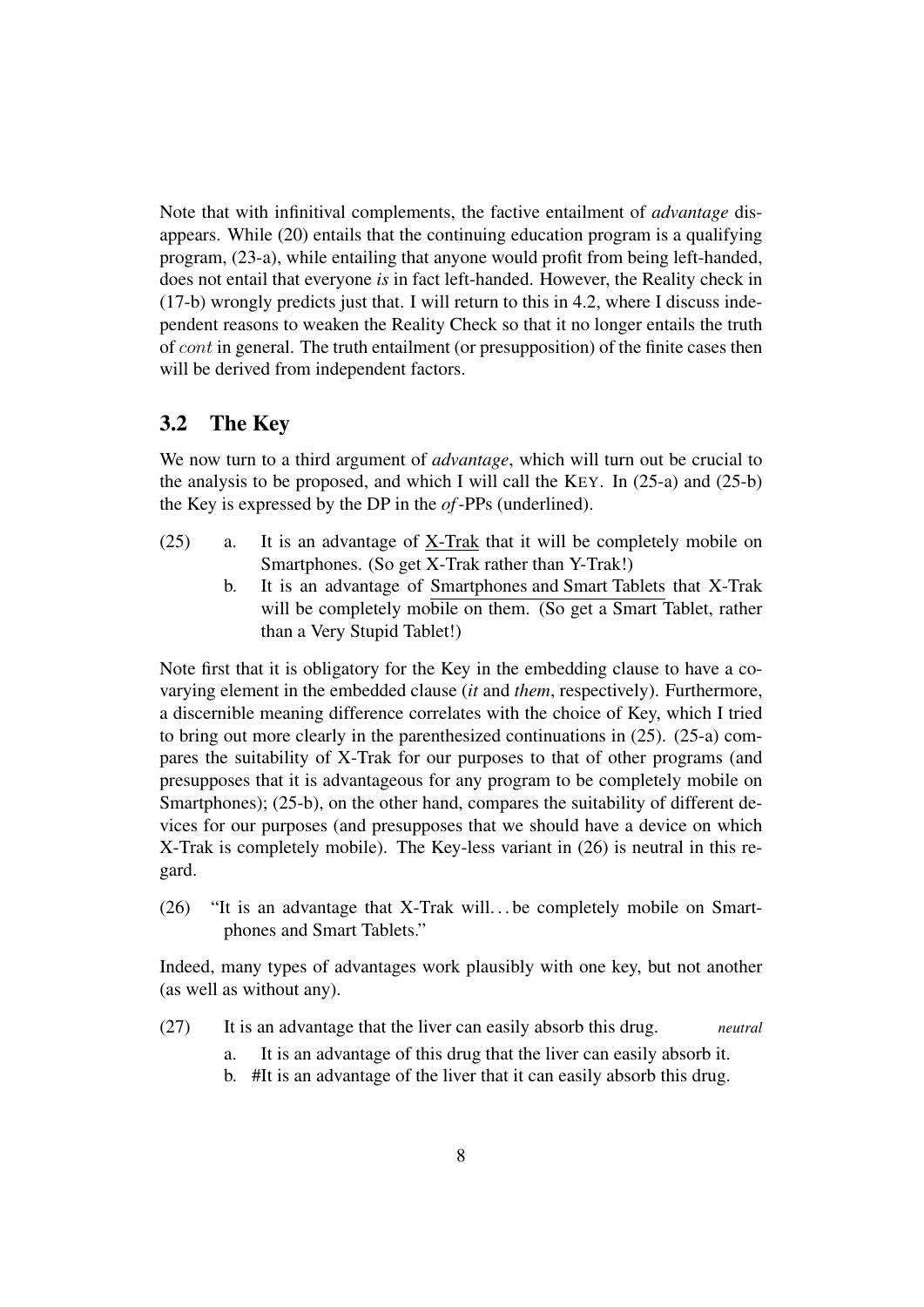Note that with infinitival complements, the factive entailment of *advantage* disappears. While (20) entails that the continuing education program is a qualifying program, (23-a), while entailing that anyone would profit from being left-handed, does not entail that everyone *is* in fact left-handed. However, the Reality check in (17-b) wrongly predicts just that. I will return to this in 4.2, where I discuss independent reasons to weaken the Reality Check so that it no longer entails the truth of cont in general. The truth entailment (or presupposition) of the finite cases then will be derived from independent factors.

#### 3.2 The Key

We now turn to a third argument of *advantage*, which will turn out be crucial to the analysis to be proposed, and which I will call the KEY. In  $(25-a)$  and  $(25-b)$ the Key is expressed by the DP in the *of*-PPs (underlined).

- (25) a. It is an advantage of X-Trak that it will be completely mobile on Smartphones. (So get X-Trak rather than Y-Trak!)
	- b. It is an advantage of Smartphones and Smart Tablets that X-Trak will be completely mobile on them. (So get a Smart Tablet, rather than a Very Stupid Tablet!)

Note first that it is obligatory for the Key in the embedding clause to have a covarying element in the embedded clause (*it* and *them*, respectively). Furthermore, a discernible meaning difference correlates with the choice of Key, which I tried to bring out more clearly in the parenthesized continuations in (25). (25-a) compares the suitability of X-Trak for our purposes to that of other programs (and presupposes that it is advantageous for any program to be completely mobile on Smartphones); (25-b), on the other hand, compares the suitability of different devices for our purposes (and presupposes that we should have a device on which X-Trak is completely mobile). The Key-less variant in (26) is neutral in this regard.

(26) "It is an advantage that X-Trak will. . . be completely mobile on Smartphones and Smart Tablets."

Indeed, many types of advantages work plausibly with one key, but not another (as well as without any).

- (27) It is an advantage that the liver can easily absorb this drug. *neutral*
	- a. It is an advantage of this drug that the liver can easily absorb it.
	- b. #It is an advantage of the liver that it can easily absorb this drug.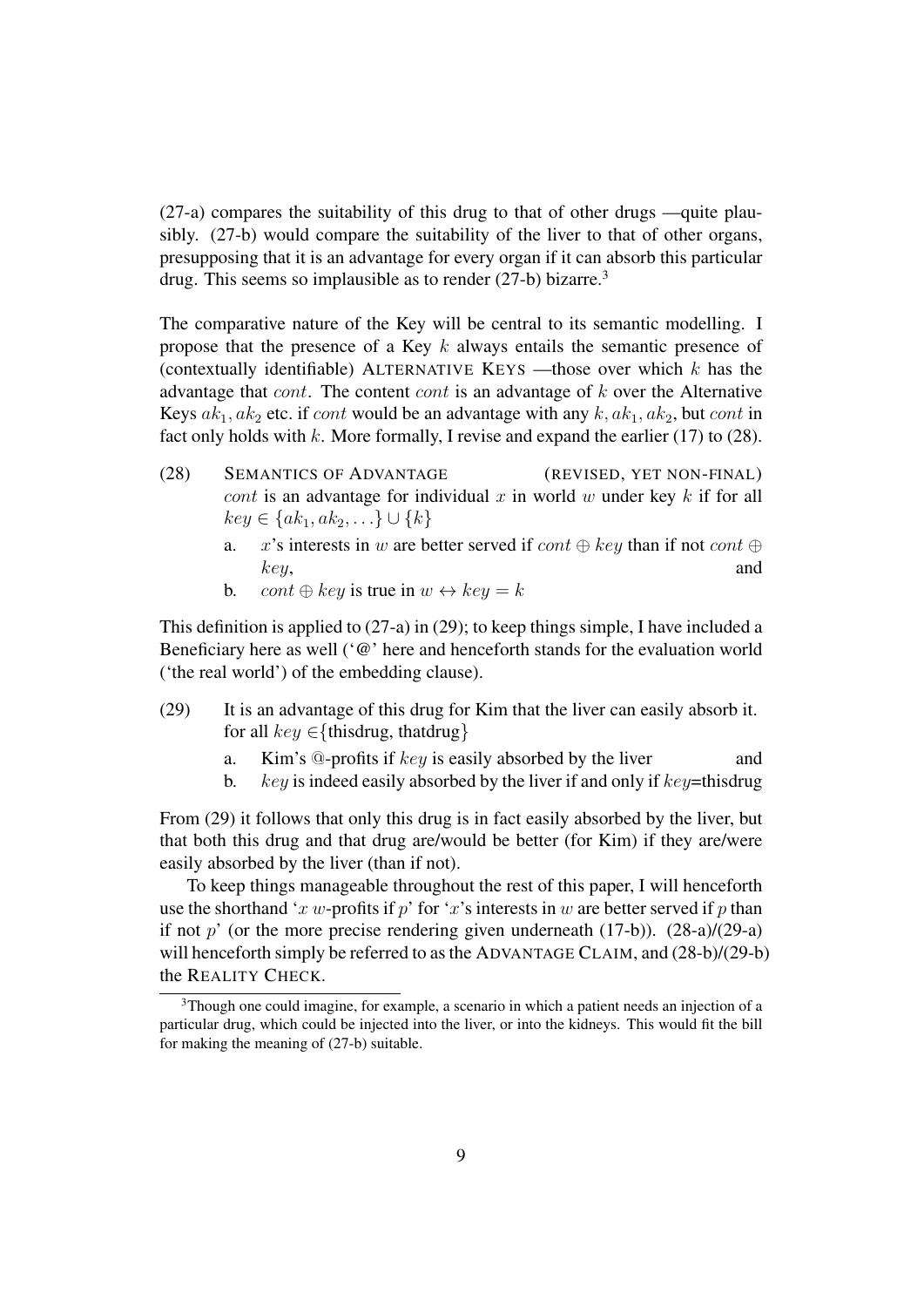(27-a) compares the suitability of this drug to that of other drugs —quite plausibly. (27-b) would compare the suitability of the liver to that of other organs, presupposing that it is an advantage for every organ if it can absorb this particular drug. This seems so implausible as to render (27-b) bizarre.<sup>3</sup>

The comparative nature of the Key will be central to its semantic modelling. I propose that the presence of a Key k always entails the semantic presence of (contextually identifiable) ALTERNATIVE KEYS —those over which  $k$  has the advantage that cont. The content cont is an advantage of k over the Alternative Keys  $ak_1, ak_2$  etc. if cont would be an advantage with any  $k, ak_1, ak_2$ , but cont in fact only holds with  $k$ . More formally, I revise and expand the earlier (17) to (28).

- (28) SEMANTICS OF ADVANTAGE (REVISED, YET NON-FINAL) cont is an advantage for individual x in world w under key  $k$  if for all  $key \in \{ak_1, ak_2, \ldots\} \cup \{k\}$ 
	- a. x's interests in w are better served if  $cont \oplus key$  than if not  $cont \oplus$ key, and
	- b. cont  $\oplus$  key is true in  $w \leftrightarrow \text{key} = k$

This definition is applied to (27-a) in (29); to keep things simple, I have included a Beneficiary here as well ('@' here and henceforth stands for the evaluation world ('the real world') of the embedding clause).

- (29) It is an advantage of this drug for Kim that the liver can easily absorb it. for all  $key \in \{thisdrug, that drug\}$ 
	- a. Kim's  $@$ -profits if  $key$  is easily absorbed by the liver and
	- b.  $key$  is indeed easily absorbed by the liver if and only if  $key$ =thisdrug

From (29) it follows that only this drug is in fact easily absorbed by the liver, but that both this drug and that drug are/would be better (for Kim) if they are/were easily absorbed by the liver (than if not).

To keep things manageable throughout the rest of this paper, I will henceforth use the shorthand 'x w-profits if p' for 'x's interests in w are better served if p than if not  $p'$  (or the more precise rendering given underneath (17-b)). (28-a)/(29-a) will henceforth simply be referred to as the ADVANTAGE CLAIM, and (28-b)/(29-b) the REALITY CHECK.

<sup>&</sup>lt;sup>3</sup>Though one could imagine, for example, a scenario in which a patient needs an injection of a particular drug, which could be injected into the liver, or into the kidneys. This would fit the bill for making the meaning of (27-b) suitable.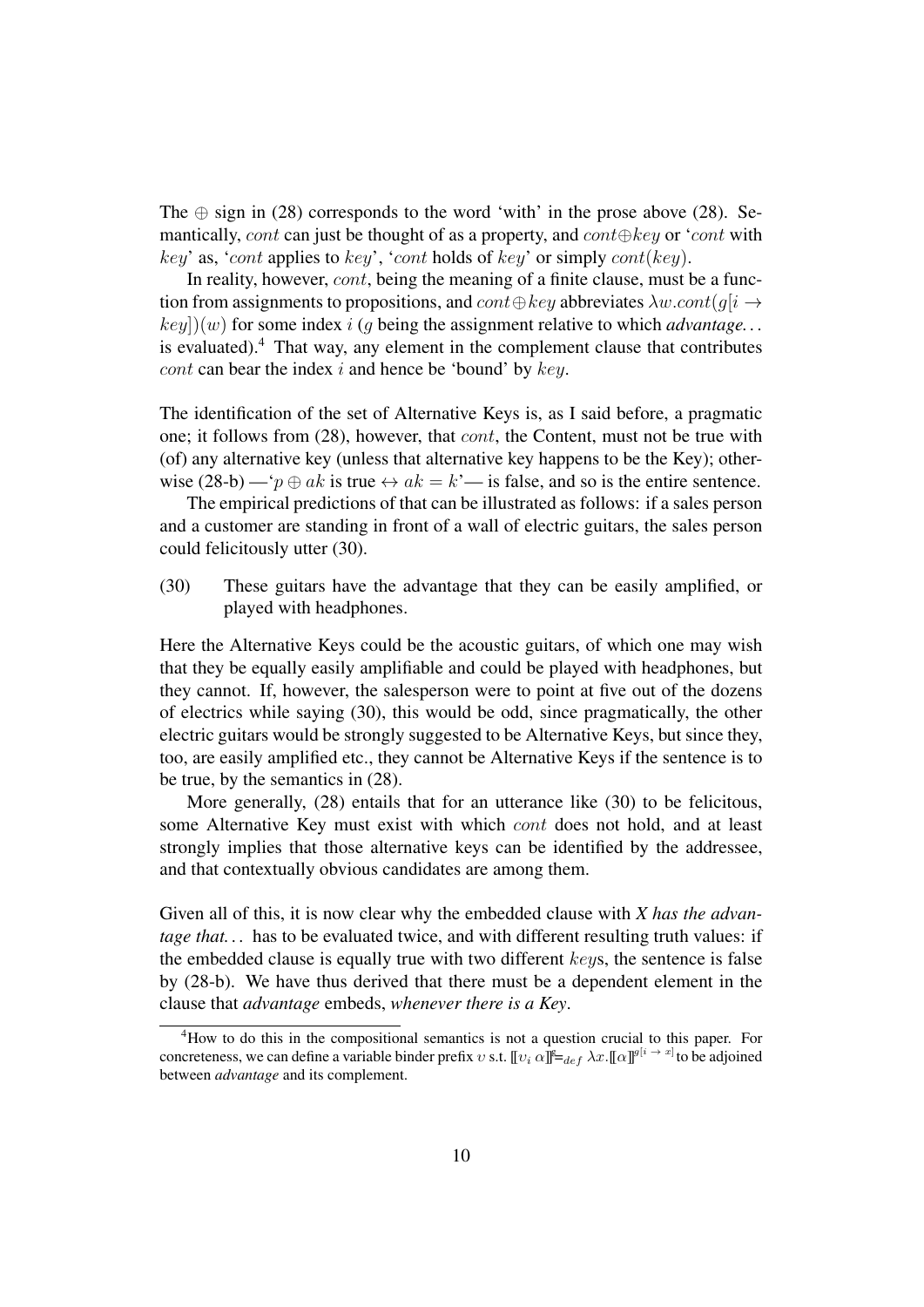The  $\oplus$  sign in (28) corresponds to the word 'with' in the prose above (28). Semantically, cont can just be thought of as a property, and cont $\oplus$ key or 'cont with key' as, 'cont applies to key', 'cont holds of key' or simply cont(key).

In reality, however, *cont*, being the meaning of a finite clause, must be a function from assignments to propositions, and  $cont ⊕ key$  abbreviates  $\lambda w cont(q[i \rightarrow$  $key()(w)$  for some index i (g being the assignment relative to which *advantage...* is evaluated). $4$  That way, any element in the complement clause that contributes cont can bear the index  $i$  and hence be 'bound' by  $key$ .

The identification of the set of Alternative Keys is, as I said before, a pragmatic one; it follows from (28), however, that *cont*, the Content, must not be true with (of) any alternative key (unless that alternative key happens to be the Key); otherwise (28-b) — ' $p \oplus ak$  is true  $\leftrightarrow ak = k$ '— is false, and so is the entire sentence.

The empirical predictions of that can be illustrated as follows: if a sales person and a customer are standing in front of a wall of electric guitars, the sales person could felicitously utter (30).

(30) These guitars have the advantage that they can be easily amplified, or played with headphones.

Here the Alternative Keys could be the acoustic guitars, of which one may wish that they be equally easily amplifiable and could be played with headphones, but they cannot. If, however, the salesperson were to point at five out of the dozens of electrics while saying (30), this would be odd, since pragmatically, the other electric guitars would be strongly suggested to be Alternative Keys, but since they, too, are easily amplified etc., they cannot be Alternative Keys if the sentence is to be true, by the semantics in (28).

More generally, (28) entails that for an utterance like (30) to be felicitous, some Alternative Key must exist with which cont does not hold, and at least strongly implies that those alternative keys can be identified by the addressee, and that contextually obvious candidates are among them.

Given all of this, it is now clear why the embedded clause with *X has the advantage that...* has to be evaluated twice, and with different resulting truth values: if the embedded clause is equally true with two different keys, the sentence is false by (28-b). We have thus derived that there must be a dependent element in the clause that *advantage* embeds, *whenever there is a Key*.

<sup>&</sup>lt;sup>4</sup>How to do this in the compositional semantics is not a question crucial to this paper. For concreteness, we can define a variable binder prefix  $v$  s.t.  $[\![v_i\;\alpha]\!] \models_{def} \lambda x . [[\alpha]]^{g[i} \to x]$  to be adjoined between *advantage* and its complement.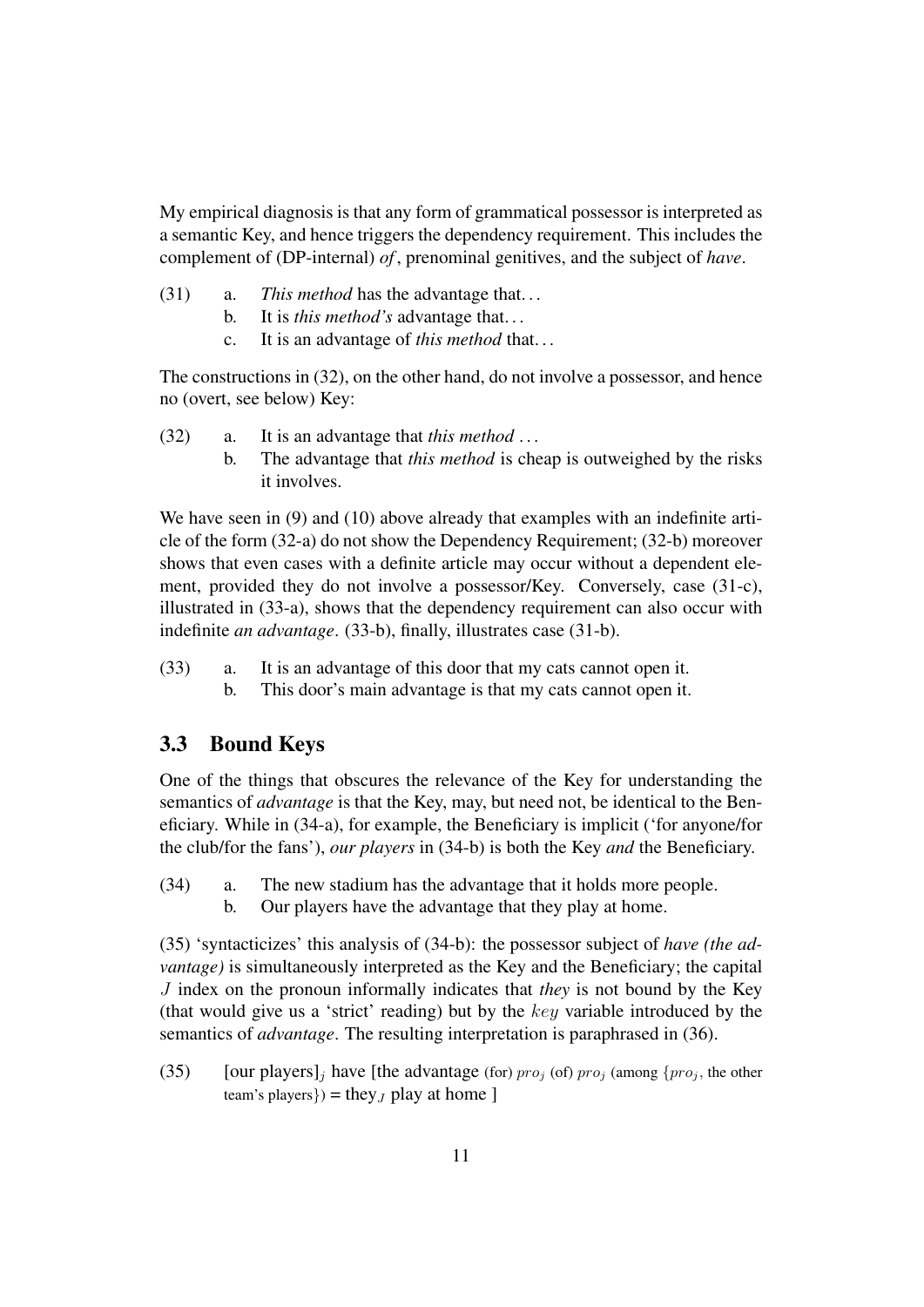My empirical diagnosis is that any form of grammatical possessor is interpreted as a semantic Key, and hence triggers the dependency requirement. This includes the complement of (DP-internal) *of* , prenominal genitives, and the subject of *have*.

- (31) a. *This method* has the advantage that. . .
	- b. It is *this method's* advantage that. . .
	- c. It is an advantage of *this method* that. . .

The constructions in (32), on the other hand, do not involve a possessor, and hence no (overt, see below) Key:

- (32) a. It is an advantage that *this method* . . .
	- b. The advantage that *this method* is cheap is outweighed by the risks it involves.

We have seen in (9) and (10) above already that examples with an indefinite article of the form (32-a) do not show the Dependency Requirement; (32-b) moreover shows that even cases with a definite article may occur without a dependent element, provided they do not involve a possessor/Key. Conversely, case (31-c), illustrated in (33-a), shows that the dependency requirement can also occur with indefinite *an advantage*. (33-b), finally, illustrates case (31-b).

- (33) a. It is an advantage of this door that my cats cannot open it.
	- b. This door's main advantage is that my cats cannot open it.

#### 3.3 Bound Keys

One of the things that obscures the relevance of the Key for understanding the semantics of *advantage* is that the Key, may, but need not, be identical to the Beneficiary. While in (34-a), for example, the Beneficiary is implicit ('for anyone/for the club/for the fans'), *our players* in (34-b) is both the Key *and* the Beneficiary.

- (34) a. The new stadium has the advantage that it holds more people.
	- b. Our players have the advantage that they play at home.

(35) 'syntacticizes' this analysis of (34-b): the possessor subject of *have (the advantage)* is simultaneously interpreted as the Key and the Beneficiary; the capital J index on the pronoun informally indicates that *they* is not bound by the Key (that would give us a 'strict' reading) but by the key variable introduced by the semantics of *advantage*. The resulting interpretation is paraphrased in (36).

(35) [our players], have [the advantage (for)  $proj_0$  (of)  $proj_1$  (among {pro<sub>i</sub>, the other team's players}) = they<sub>J</sub> play at home ]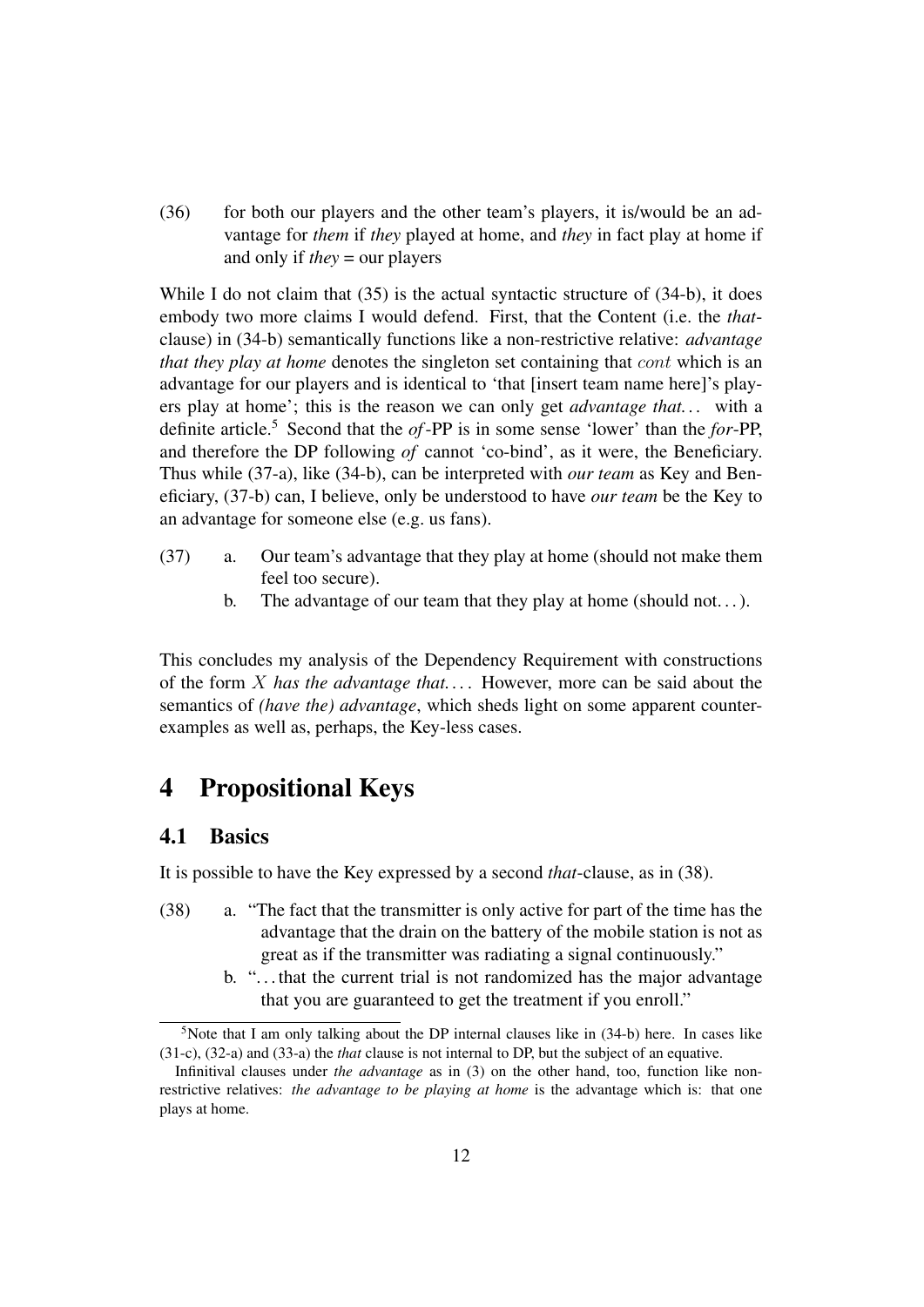(36) for both our players and the other team's players, it is/would be an advantage for *them* if *they* played at home, and *they* in fact play at home if and only if *they* = our players

While I do not claim that (35) is the actual syntactic structure of (34-b), it does embody two more claims I would defend. First, that the Content (i.e. the *that*clause) in (34-b) semantically functions like a non-restrictive relative: *advantage that they play at home* denotes the singleton set containing that cont which is an advantage for our players and is identical to 'that [insert team name here]'s players play at home'; this is the reason we can only get *advantage that. . .* with a definite article.<sup>5</sup> Second that the *of*-PP is in some sense 'lower' than the *for*-PP, and therefore the DP following *of* cannot 'co-bind', as it were, the Beneficiary. Thus while (37-a), like (34-b), can be interpreted with *our team* as Key and Beneficiary, (37-b) can, I believe, only be understood to have *our team* be the Key to an advantage for someone else (e.g. us fans).

- (37) a. Our team's advantage that they play at home (should not make them feel too secure).
	- b. The advantage of our team that they play at home (should not...).

This concludes my analysis of the Dependency Requirement with constructions of the form X *has the advantage that. . .* . However, more can be said about the semantics of *(have the) advantage*, which sheds light on some apparent counterexamples as well as, perhaps, the Key-less cases.

# 4 Propositional Keys

#### 4.1 Basics

It is possible to have the Key expressed by a second *that*-clause, as in (38).

- (38) a. "The fact that the transmitter is only active for part of the time has the advantage that the drain on the battery of the mobile station is not as great as if the transmitter was radiating a signal continuously."
	- b. ". . . that the current trial is not randomized has the major advantage that you are guaranteed to get the treatment if you enroll."

 $5$ Note that I am only talking about the DP internal clauses like in  $(34-b)$  here. In cases like (31-c), (32-a) and (33-a) the *that* clause is not internal to DP, but the subject of an equative.

Infinitival clauses under *the advantage* as in (3) on the other hand, too, function like nonrestrictive relatives: *the advantage to be playing at home* is the advantage which is: that one plays at home.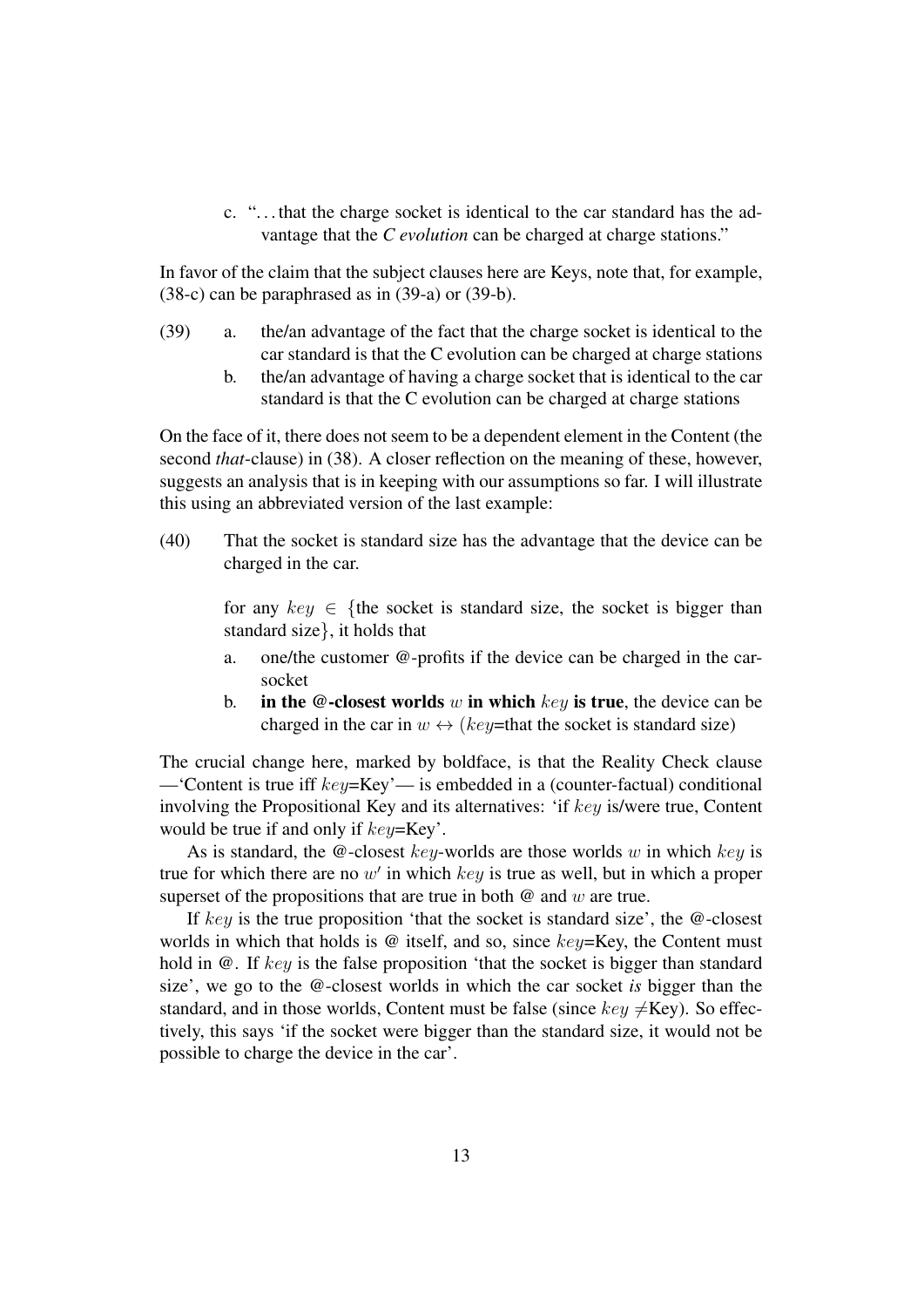c. ". . . that the charge socket is identical to the car standard has the advantage that the *C* evolution can be charged at charge stations."

In favor of the claim that the subject clauses here are Keys, note that, for example, (38-c) can be paraphrased as in (39-a) or (39-b).

- (39) a. the/an advantage of the fact that the charge socket is identical to the car standard is that the C evolution can be charged at charge stations
	- b. the/an advantage of having a charge socket that is identical to the car standard is that the C evolution can be charged at charge stations

On the face of it, there does not seem to be a dependent element in the Content (the second *that*-clause) in (38). A closer reflection on the meaning of these, however, suggests an analysis that is in keeping with our assumptions so far. I will illustrate this using an abbreviated version of the last example:

(40) That the socket is standard size has the advantage that the device can be charged in the car.

> for any  $key \in \{$ the socket is standard size, the socket is bigger than standard size}, it holds that

- a. one/the customer @-profits if the device can be charged in the carsocket
- b. in the  $\omega$ -closest worlds w in which key is true, the device can be charged in the car in  $w \leftrightarrow (key=$ that the socket is standard size)

The crucial change here, marked by boldface, is that the Reality Check clause —'Content is true iff key=Key'— is embedded in a (counter-factual) conditional involving the Propositional Key and its alternatives: 'if key is/were true, Content would be true if and only if  $key = Key^2$ .

As is standard, the  $@$ -closest key-worlds are those worlds w in which key is true for which there are no  $w'$  in which  $key$  is true as well, but in which a proper superset of the propositions that are true in both  $\omega$  and  $w$  are true.

If key is the true proposition 'that the socket is standard size', the  $@$ -closest worlds in which that holds is  $\omega$  itself, and so, since  $key=Key$ , the Content must hold in  $\omega$ . If key is the false proposition 'that the socket is bigger than standard size', we go to the @-closest worlds in which the car socket *is* bigger than the standard, and in those worlds, Content must be false (since  $key \neq \text{Key}$ ). So effectively, this says 'if the socket were bigger than the standard size, it would not be possible to charge the device in the car'.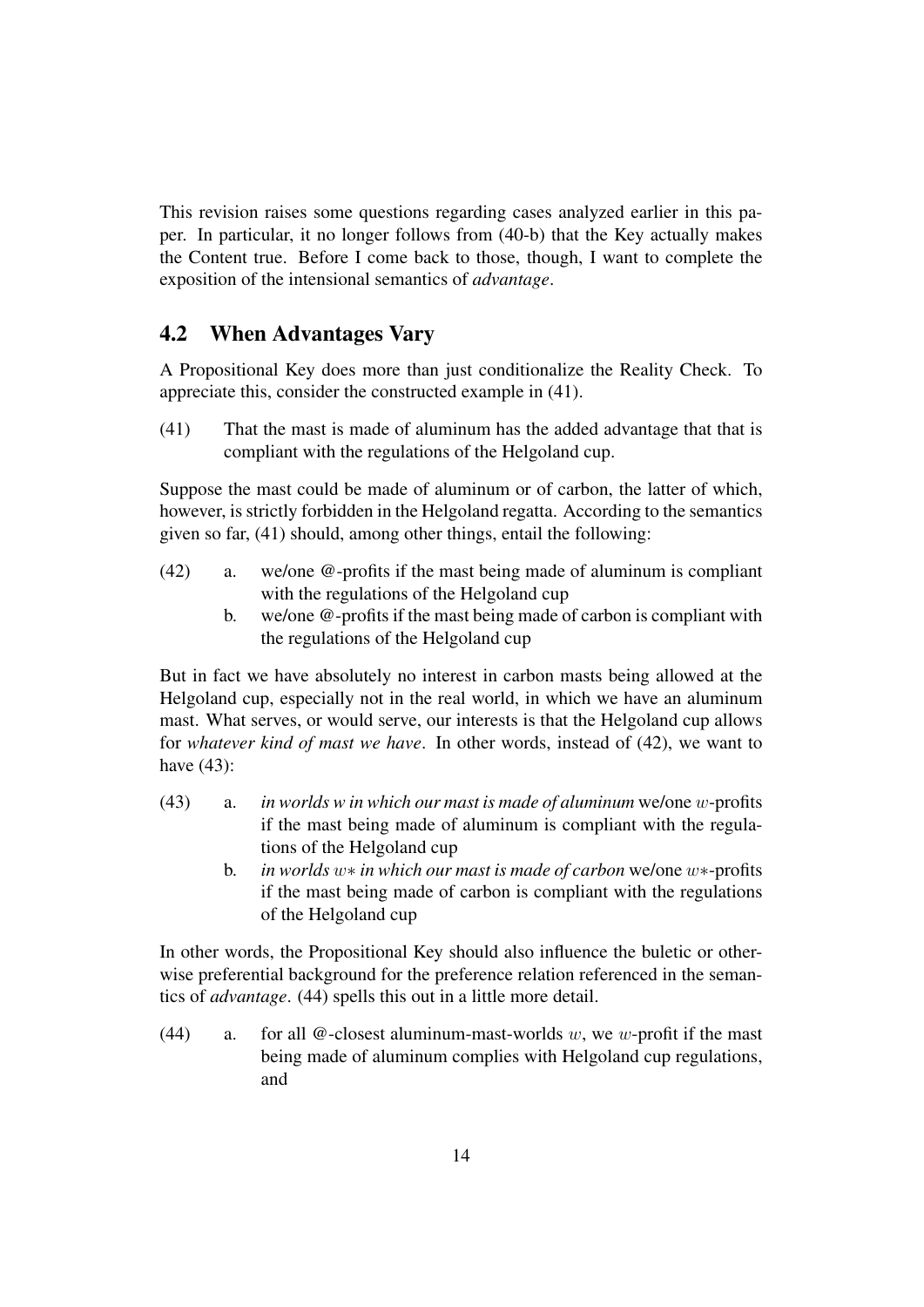This revision raises some questions regarding cases analyzed earlier in this paper. In particular, it no longer follows from (40-b) that the Key actually makes the Content true. Before I come back to those, though, I want to complete the exposition of the intensional semantics of *advantage*.

#### 4.2 When Advantages Vary

A Propositional Key does more than just conditionalize the Reality Check. To appreciate this, consider the constructed example in (41).

(41) That the mast is made of aluminum has the added advantage that that is compliant with the regulations of the Helgoland cup.

Suppose the mast could be made of aluminum or of carbon, the latter of which, however, is strictly forbidden in the Helgoland regatta. According to the semantics given so far, (41) should, among other things, entail the following:

- (42) a. we/one @-profits if the mast being made of aluminum is compliant with the regulations of the Helgoland cup
	- b. we/one @-profits if the mast being made of carbon is compliant with the regulations of the Helgoland cup

But in fact we have absolutely no interest in carbon masts being allowed at the Helgoland cup, especially not in the real world, in which we have an aluminum mast. What serves, or would serve, our interests is that the Helgoland cup allows for *whatever kind of mast we have*. In other words, instead of (42), we want to have (43):

- (43) a. *in worlds w in which our mast is made of aluminum* we/one w-profits if the mast being made of aluminum is compliant with the regulations of the Helgoland cup
	- b. *in worlds* w∗ *in which our mast is made of carbon* we/one w∗-profits if the mast being made of carbon is compliant with the regulations of the Helgoland cup

In other words, the Propositional Key should also influence the buletic or otherwise preferential background for the preference relation referenced in the semantics of *advantage*. (44) spells this out in a little more detail.

(44) a. for all  $\omega$ -closest aluminum-mast-worlds w, we w-profit if the mast being made of aluminum complies with Helgoland cup regulations, and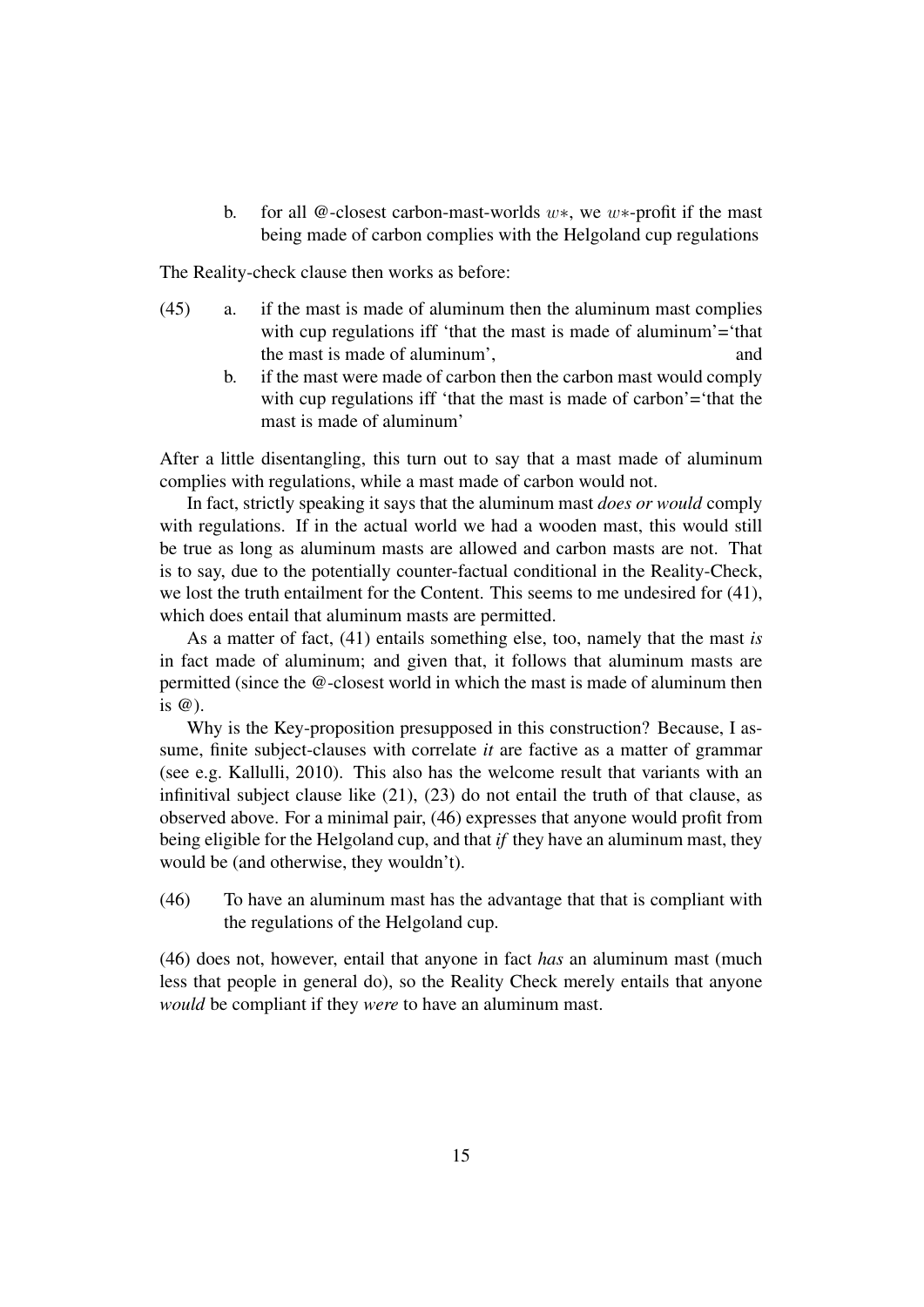b. for all @-closest carbon-mast-worlds w∗, we w∗-profit if the mast being made of carbon complies with the Helgoland cup regulations

The Reality-check clause then works as before:

- (45) a. if the mast is made of aluminum then the aluminum mast complies with cup regulations iff 'that the mast is made of aluminum'='that the mast is made of aluminum', and
	- b. if the mast were made of carbon then the carbon mast would comply with cup regulations iff 'that the mast is made of carbon'='that the mast is made of aluminum'

After a little disentangling, this turn out to say that a mast made of aluminum complies with regulations, while a mast made of carbon would not.

In fact, strictly speaking it says that the aluminum mast *does or would* comply with regulations. If in the actual world we had a wooden mast, this would still be true as long as aluminum masts are allowed and carbon masts are not. That is to say, due to the potentially counter-factual conditional in the Reality-Check, we lost the truth entailment for the Content. This seems to me undesired for (41), which does entail that aluminum masts are permitted.

As a matter of fact, (41) entails something else, too, namely that the mast *is* in fact made of aluminum; and given that, it follows that aluminum masts are permitted (since the @-closest world in which the mast is made of aluminum then is @).

Why is the Key-proposition presupposed in this construction? Because, I assume, finite subject-clauses with correlate *it* are factive as a matter of grammar (see e.g. Kallulli, 2010). This also has the welcome result that variants with an infinitival subject clause like (21), (23) do not entail the truth of that clause, as observed above. For a minimal pair, (46) expresses that anyone would profit from being eligible for the Helgoland cup, and that *if* they have an aluminum mast, they would be (and otherwise, they wouldn't).

(46) To have an aluminum mast has the advantage that that is compliant with the regulations of the Helgoland cup.

(46) does not, however, entail that anyone in fact *has* an aluminum mast (much less that people in general do), so the Reality Check merely entails that anyone *would* be compliant if they *were* to have an aluminum mast.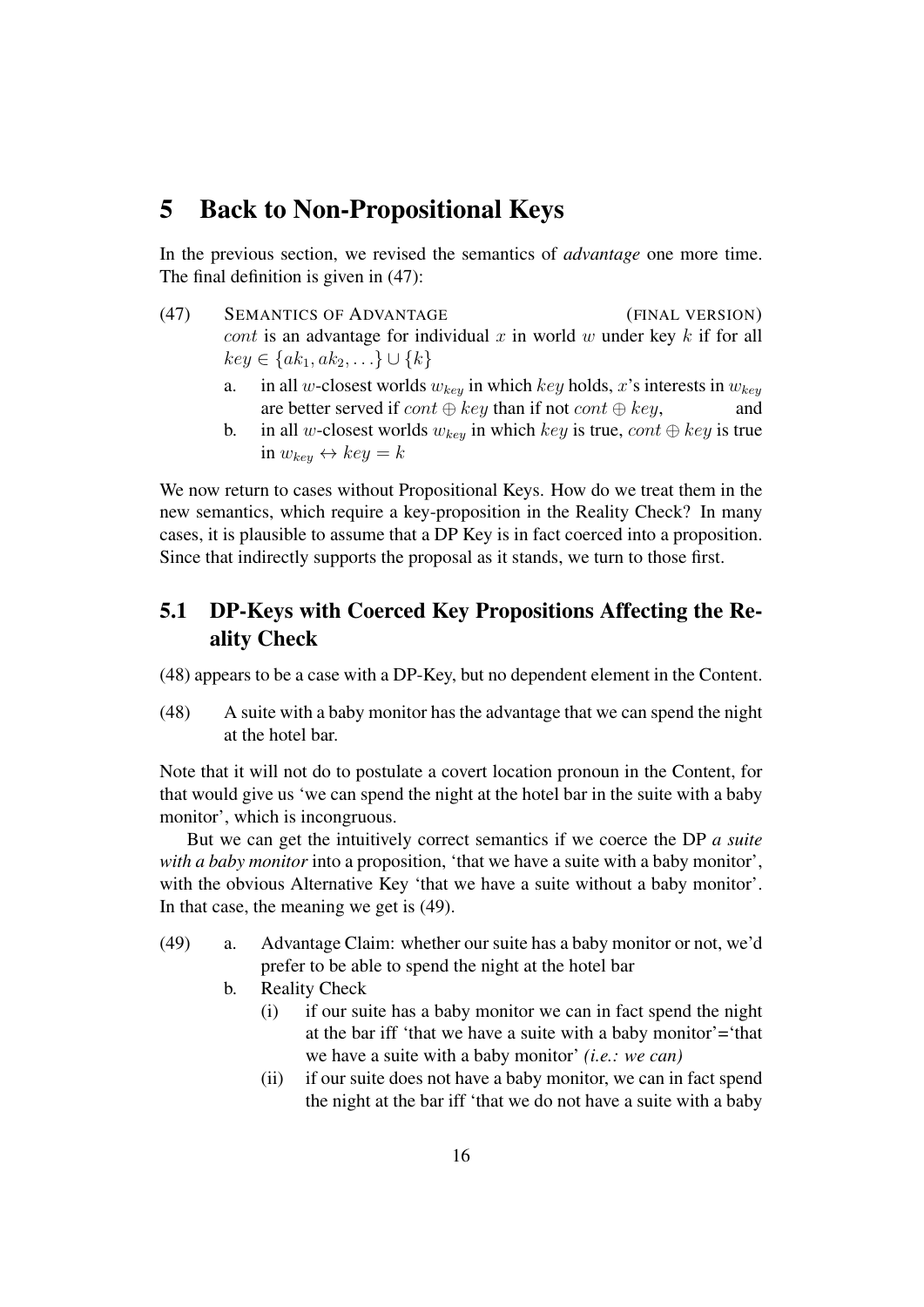# 5 Back to Non-Propositional Keys

In the previous section, we revised the semantics of *advantage* one more time. The final definition is given in (47):

- (47) SEMANTICS OF ADVANTAGE (FINAL VERSION) cont is an advantage for individual x in world w under key  $k$  if for all  $key \in \{ak_1, ak_2, \ldots\} \cup \{k\}$ 
	- a. in all w-closest worlds  $w_{key}$  in which key holds, x's interests in  $w_{key}$ are better served if  $cont \oplus key$  than if not  $cont \oplus key$ , and
	- b. in all w-closest worlds  $w_{key}$  in which key is true, cont  $\oplus$  key is true in  $w_{key} \leftrightarrow key = k$

We now return to cases without Propositional Keys. How do we treat them in the new semantics, which require a key-proposition in the Reality Check? In many cases, it is plausible to assume that a DP Key is in fact coerced into a proposition. Since that indirectly supports the proposal as it stands, we turn to those first.

### 5.1 DP-Keys with Coerced Key Propositions Affecting the Reality Check

(48) appears to be a case with a DP-Key, but no dependent element in the Content.

(48) A suite with a baby monitor has the advantage that we can spend the night at the hotel bar.

Note that it will not do to postulate a covert location pronoun in the Content, for that would give us 'we can spend the night at the hotel bar in the suite with a baby monitor', which is incongruous.

But we can get the intuitively correct semantics if we coerce the DP *a suite with a baby monitor* into a proposition, 'that we have a suite with a baby monitor', with the obvious Alternative Key 'that we have a suite without a baby monitor'. In that case, the meaning we get is (49).

- (49) a. Advantage Claim: whether our suite has a baby monitor or not, we'd prefer to be able to spend the night at the hotel bar
	- b. Reality Check
		- (i) if our suite has a baby monitor we can in fact spend the night at the bar iff 'that we have a suite with a baby monitor'='that we have a suite with a baby monitor' *(i.e.: we can)*
		- (ii) if our suite does not have a baby monitor, we can in fact spend the night at the bar iff 'that we do not have a suite with a baby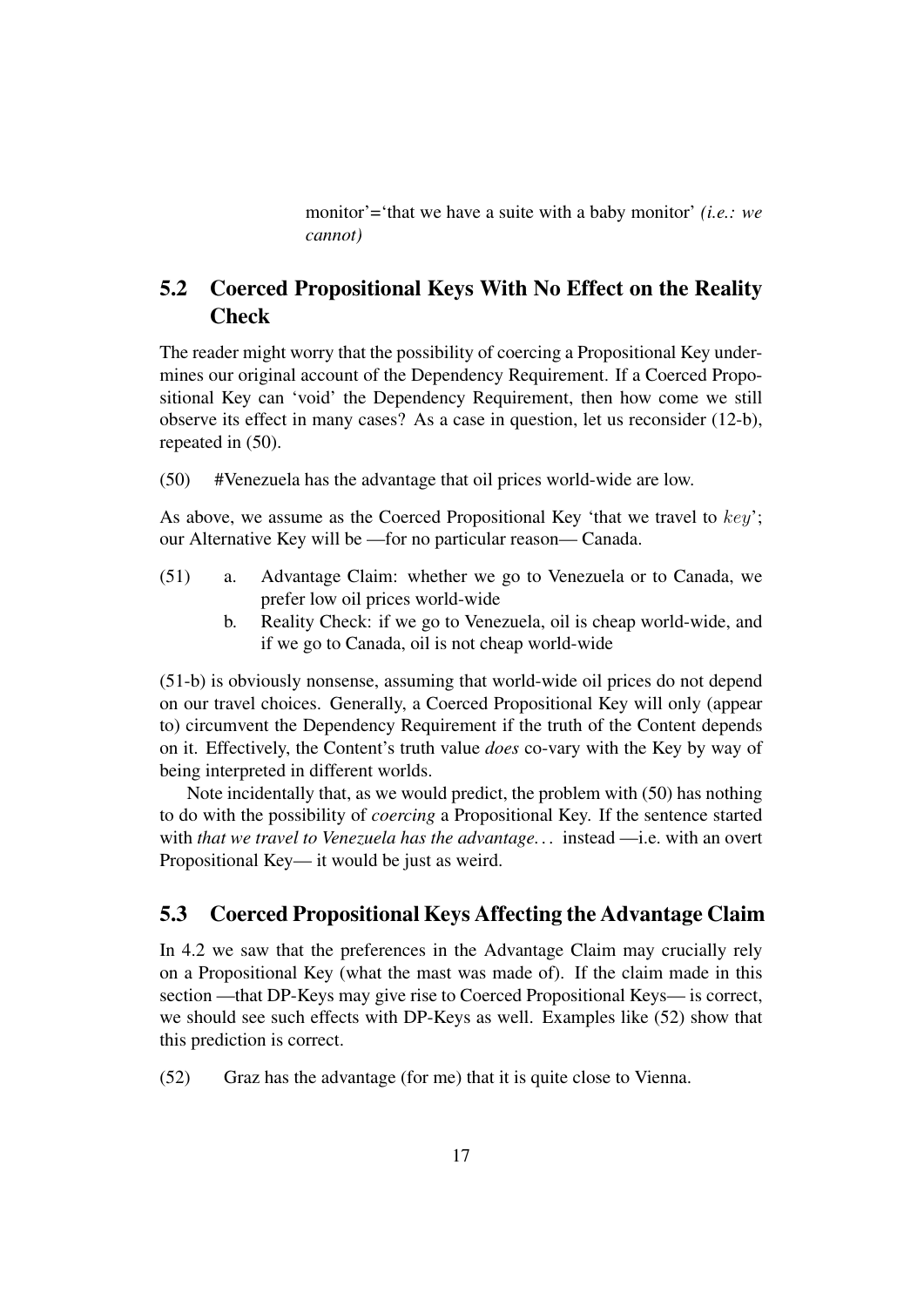monitor'='that we have a suite with a baby monitor' *(i.e.: we cannot)*

### 5.2 Coerced Propositional Keys With No Effect on the Reality **Check**

The reader might worry that the possibility of coercing a Propositional Key undermines our original account of the Dependency Requirement. If a Coerced Propositional Key can 'void' the Dependency Requirement, then how come we still observe its effect in many cases? As a case in question, let us reconsider (12-b), repeated in (50).

(50) #Venezuela has the advantage that oil prices world-wide are low.

As above, we assume as the Coerced Propositional Key 'that we travel to  $key$ '; our Alternative Key will be —for no particular reason— Canada.

- (51) a. Advantage Claim: whether we go to Venezuela or to Canada, we prefer low oil prices world-wide
	- b. Reality Check: if we go to Venezuela, oil is cheap world-wide, and if we go to Canada, oil is not cheap world-wide

(51-b) is obviously nonsense, assuming that world-wide oil prices do not depend on our travel choices. Generally, a Coerced Propositional Key will only (appear to) circumvent the Dependency Requirement if the truth of the Content depends on it. Effectively, the Content's truth value *does* co-vary with the Key by way of being interpreted in different worlds.

Note incidentally that, as we would predict, the problem with (50) has nothing to do with the possibility of *coercing* a Propositional Key. If the sentence started with *that we travel to Venezuela has the advantage. . .* instead —i.e. with an overt Propositional Key— it would be just as weird.

#### 5.3 Coerced Propositional Keys Affecting the Advantage Claim

In 4.2 we saw that the preferences in the Advantage Claim may crucially rely on a Propositional Key (what the mast was made of). If the claim made in this section —that DP-Keys may give rise to Coerced Propositional Keys— is correct, we should see such effects with DP-Keys as well. Examples like (52) show that this prediction is correct.

(52) Graz has the advantage (for me) that it is quite close to Vienna.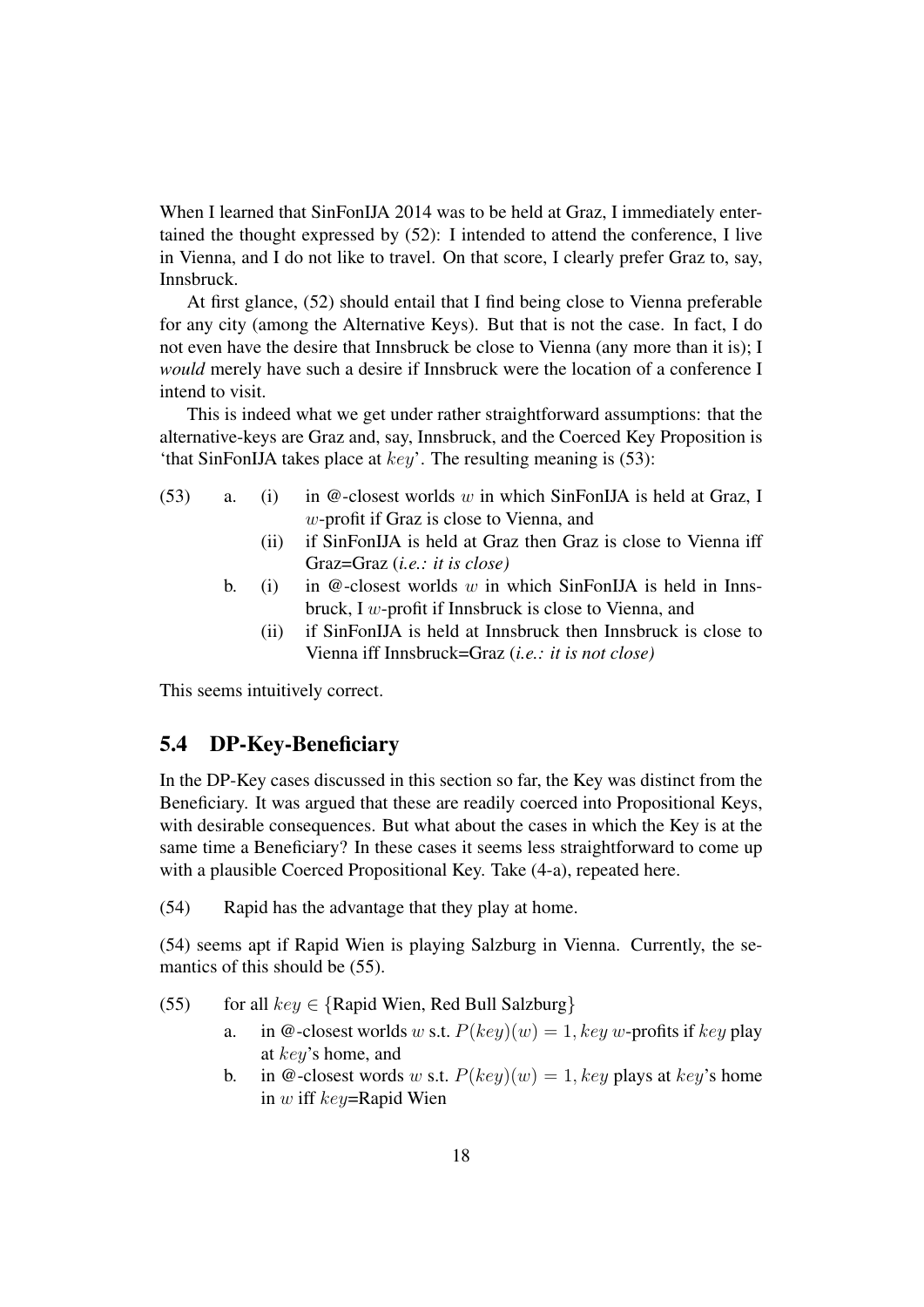When I learned that SinFonIJA 2014 was to be held at Graz, I immediately entertained the thought expressed by (52): I intended to attend the conference, I live in Vienna, and I do not like to travel. On that score, I clearly prefer Graz to, say, Innsbruck.

At first glance, (52) should entail that I find being close to Vienna preferable for any city (among the Alternative Keys). But that is not the case. In fact, I do not even have the desire that Innsbruck be close to Vienna (any more than it is); I *would* merely have such a desire if Innsbruck were the location of a conference I intend to visit.

This is indeed what we get under rather straightforward assumptions: that the alternative-keys are Graz and, say, Innsbruck, and the Coerced Key Proposition is 'that SinFonIJA takes place at  $key'$ . The resulting meaning is (53):

- (53) a. (i) in  $@$ -closest worlds w in which SinFonIJA is held at Graz, I w-profit if Graz is close to Vienna, and
	- (ii) if SinFonIJA is held at Graz then Graz is close to Vienna iff Graz=Graz (*i.e.: it is close)*
	- b. (i) in  $@$ -closest worlds w in which SinFonIJA is held in Innsbruck, I w-profit if Innsbruck is close to Vienna, and
		- (ii) if SinFonIJA is held at Innsbruck then Innsbruck is close to Vienna iff Innsbruck=Graz (*i.e.: it is not close)*

This seems intuitively correct.

#### 5.4 DP-Key-Beneficiary

In the DP-Key cases discussed in this section so far, the Key was distinct from the Beneficiary. It was argued that these are readily coerced into Propositional Keys, with desirable consequences. But what about the cases in which the Key is at the same time a Beneficiary? In these cases it seems less straightforward to come up with a plausible Coerced Propositional Key. Take (4-a), repeated here.

(54) Rapid has the advantage that they play at home.

(54) seems apt if Rapid Wien is playing Salzburg in Vienna. Currently, the semantics of this should be (55).

- (55) for all  $key \in \{Rapid Wien, Red Bull Salzburg\}$ 
	- a. in @-closest worlds w s.t.  $P(key)(w) = 1$ ,  $key w$ -profits if  $key$  play at key's home, and
	- b. in @-closest words w s.t.  $P(key)(w) = 1$ , key plays at key's home in w iff key=Rapid Wien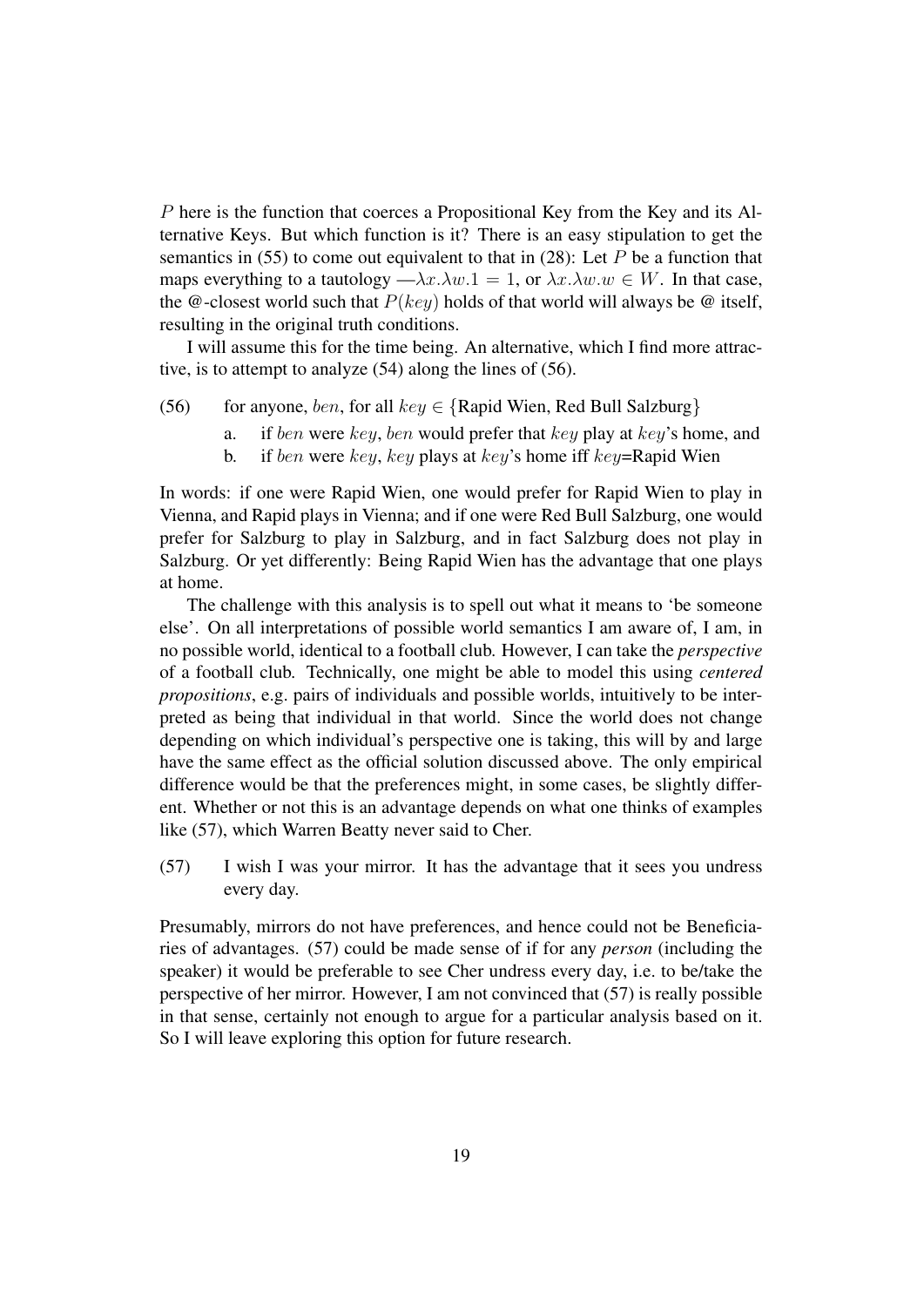P here is the function that coerces a Propositional Key from the Key and its Alternative Keys. But which function is it? There is an easy stipulation to get the semantics in (55) to come out equivalent to that in (28): Let  $P$  be a function that maps everything to a tautology — $\lambda x.\lambda w.1 = 1$ , or  $\lambda x.\lambda w.w \in W$ . In that case, the @-closest world such that  $P(key)$  holds of that world will always be @ itself, resulting in the original truth conditions.

I will assume this for the time being. An alternative, which I find more attractive, is to attempt to analyze (54) along the lines of (56).

- (56) for anyone, ben, for all key  $\in$  {Rapid Wien, Red Bull Salzburg}
	- a. if ben were key, ben would prefer that key play at key's home, and
	- b. if ben were key, key plays at key's home iff key=Rapid Wien

In words: if one were Rapid Wien, one would prefer for Rapid Wien to play in Vienna, and Rapid plays in Vienna; and if one were Red Bull Salzburg, one would prefer for Salzburg to play in Salzburg, and in fact Salzburg does not play in Salzburg. Or yet differently: Being Rapid Wien has the advantage that one plays at home.

The challenge with this analysis is to spell out what it means to 'be someone else'. On all interpretations of possible world semantics I am aware of, I am, in no possible world, identical to a football club. However, I can take the *perspective* of a football club. Technically, one might be able to model this using *centered propositions*, e.g. pairs of individuals and possible worlds, intuitively to be interpreted as being that individual in that world. Since the world does not change depending on which individual's perspective one is taking, this will by and large have the same effect as the official solution discussed above. The only empirical difference would be that the preferences might, in some cases, be slightly different. Whether or not this is an advantage depends on what one thinks of examples like (57), which Warren Beatty never said to Cher.

(57) I wish I was your mirror. It has the advantage that it sees you undress every day.

Presumably, mirrors do not have preferences, and hence could not be Beneficiaries of advantages. (57) could be made sense of if for any *person* (including the speaker) it would be preferable to see Cher undress every day, i.e. to be/take the perspective of her mirror. However, I am not convinced that (57) is really possible in that sense, certainly not enough to argue for a particular analysis based on it. So I will leave exploring this option for future research.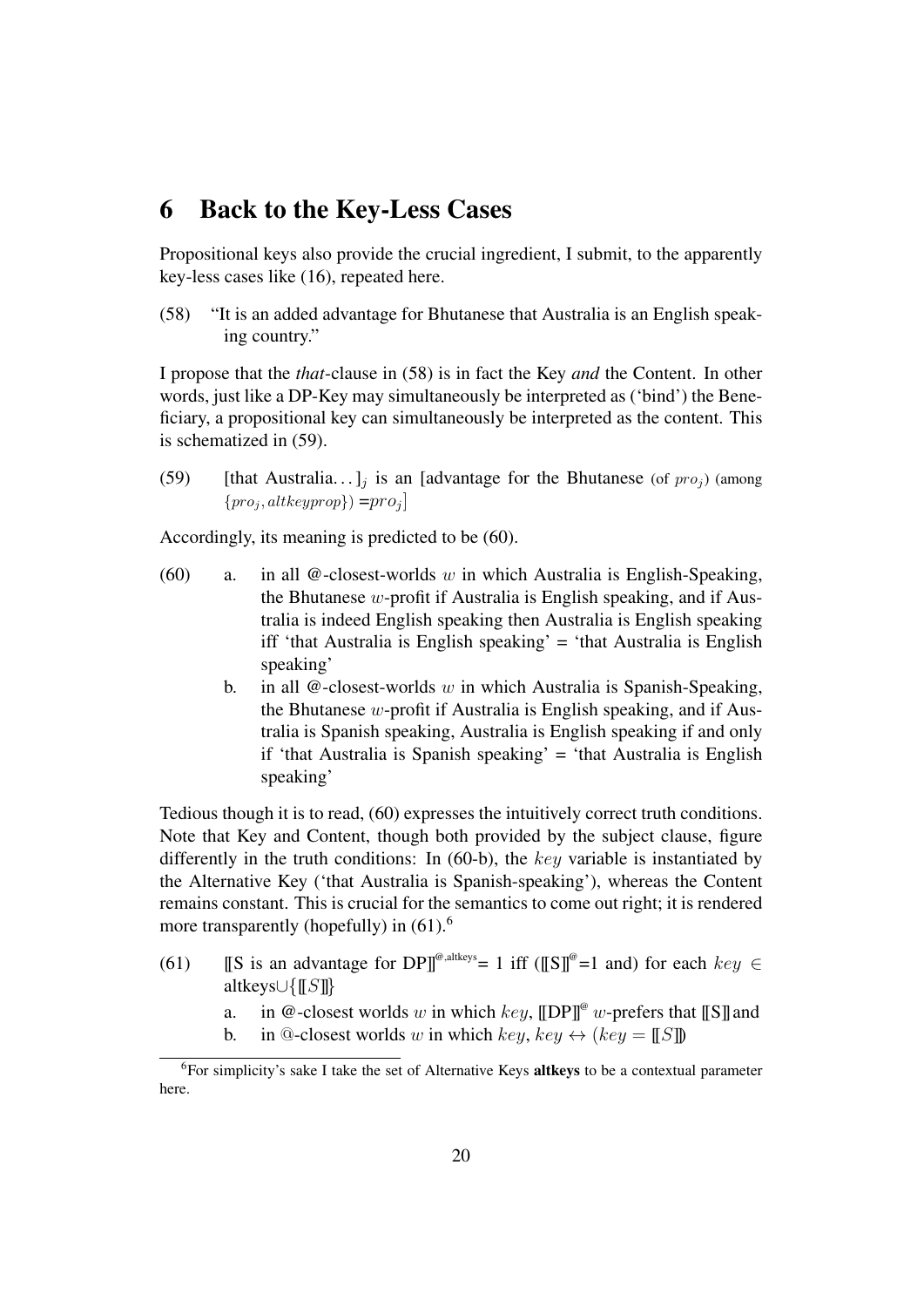# 6 Back to the Key-Less Cases

Propositional keys also provide the crucial ingredient, I submit, to the apparently key-less cases like (16), repeated here.

(58) "It is an added advantage for Bhutanese that Australia is an English speaking country."

I propose that the *that*-clause in (58) is in fact the Key *and* the Content. In other words, just like a DP-Key may simultaneously be interpreted as ('bind') the Beneficiary, a propositional key can simultaneously be interpreted as the content. This is schematized in (59).

(59) [that Australia...]<sub>j</sub> is an [advantage for the Bhutanese (of  $proj$ ) (among  $\{pro_j, altkeyprop\}) = pro_j$ 

Accordingly, its meaning is predicted to be (60).

- (60) a. in all  $\mathcal Q$ -closest-worlds w in which Australia is English-Speaking, the Bhutanese  $w$ -profit if Australia is English speaking, and if Australia is indeed English speaking then Australia is English speaking iff 'that Australia is English speaking' = 'that Australia is English speaking'
	- b. in all  $@$ -closest-worlds w in which Australia is Spanish-Speaking, the Bhutanese w-profit if Australia is English speaking, and if Australia is Spanish speaking, Australia is English speaking if and only if 'that Australia is Spanish speaking' = 'that Australia is English speaking'

Tedious though it is to read, (60) expresses the intuitively correct truth conditions. Note that Key and Content, though both provided by the subject clause, figure differently in the truth conditions: In  $(60-b)$ , the key variable is instantiated by the Alternative Key ('that Australia is Spanish-speaking'), whereas the Content remains constant. This is crucial for the semantics to come out right; it is rendered more transparently (hopefully) in  $(61)$ <sup>6</sup>

- (61) [S is an advantage for DP]<sup>@,altkeys</sup> = 1 iff ([[S]]<sup>@</sup> = 1 and) for each  $key \in$ altkeys∪{[[S]]}
	- a. in @-closest worlds w in which key,  $\llbracket \text{DPI} \rrbracket^{\omega}$  w-prefers that  $\llbracket \text{S} \rrbracket$  and
	- b. in @-closest worlds w in which key, key  $\leftrightarrow$  (key = [[S]])

<sup>&</sup>lt;sup>6</sup>For simplicity's sake I take the set of Alternative Keys altkeys to be a contextual parameter here.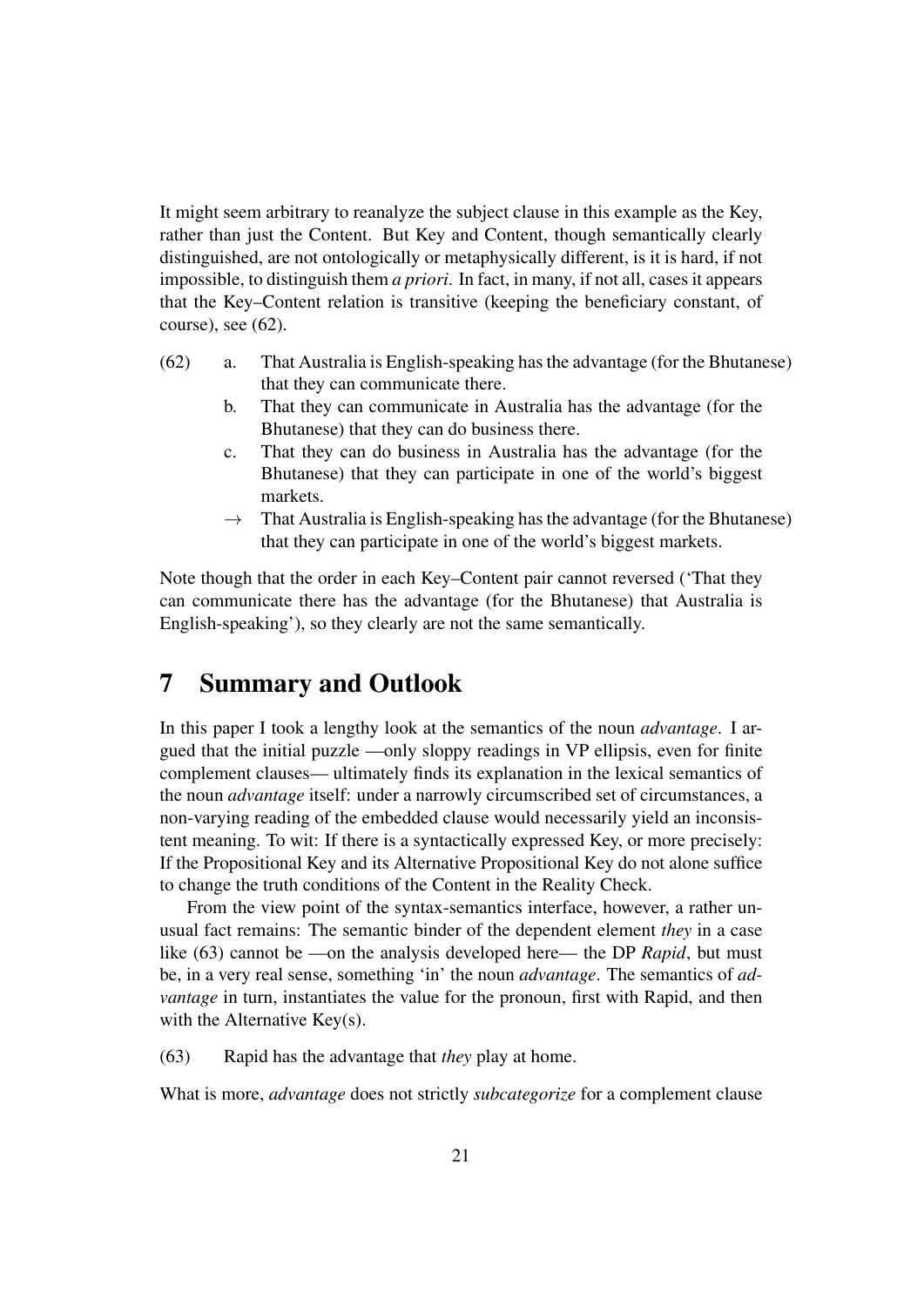It might seem arbitrary to reanalyze the subject clause in this example as the Key, rather than just the Content. But Key and Content, though semantically clearly distinguished, are not ontologically or metaphysically different, is it is hard, if not impossible, to distinguish them *a priori*. In fact, in many, if not all, cases it appears that the Key–Content relation is transitive (keeping the beneficiary constant, of course), see (62).

- (62) a. That Australia is English-speaking has the advantage (for the Bhutanese) that they can communicate there.
	- b. That they can communicate in Australia has the advantage (for the Bhutanese) that they can do business there.
	- c. That they can do business in Australia has the advantage (for the Bhutanese) that they can participate in one of the world's biggest markets.
	- $\rightarrow$  That Australia is English-speaking has the advantage (for the Bhutanese) that they can participate in one of the world's biggest markets.

Note though that the order in each Key–Content pair cannot reversed ('That they can communicate there has the advantage (for the Bhutanese) that Australia is English-speaking'), so they clearly are not the same semantically.

# 7 Summary and Outlook

In this paper I took a lengthy look at the semantics of the noun *advantage*. I argued that the initial puzzle —only sloppy readings in VP ellipsis, even for finite complement clauses— ultimately finds its explanation in the lexical semantics of the noun *advantage* itself: under a narrowly circumscribed set of circumstances, a non-varying reading of the embedded clause would necessarily yield an inconsistent meaning. To wit: If there is a syntactically expressed Key, or more precisely: If the Propositional Key and its Alternative Propositional Key do not alone suffice to change the truth conditions of the Content in the Reality Check.

From the view point of the syntax-semantics interface, however, a rather unusual fact remains: The semantic binder of the dependent element *they* in a case like (63) cannot be —on the analysis developed here— the DP *Rapid*, but must be, in a very real sense, something 'in' the noun *advantage*. The semantics of *advantage* in turn, instantiates the value for the pronoun, first with Rapid, and then with the Alternative Key(s).

(63) Rapid has the advantage that *they* play at home.

What is more, *advantage* does not strictly *subcategorize* for a complement clause